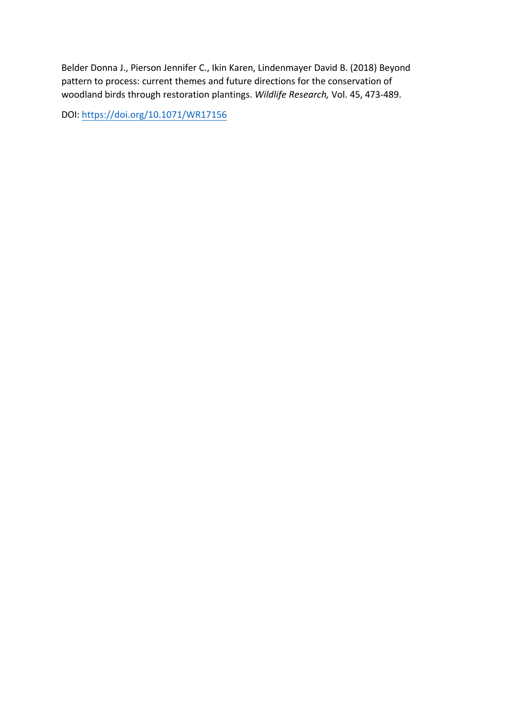Belder Donna J., Pierson Jennifer C., Ikin Karen, Lindenmayer David B. (2018) Beyond pattern to process: current themes and future directions for the conservation of woodland birds through restoration plantings. *Wildlife Research,* Vol. 45, 473-489.

DOI[: https://doi.org/10.1071/WR171](https://doi.org/10.1071/WR17156)56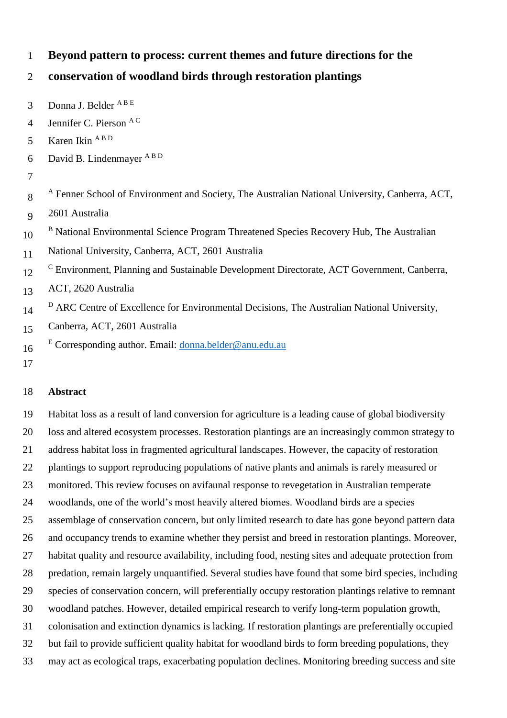### **Beyond pattern to process: current themes and future directions for the**

# **conservation of woodland birds through restoration plantings**

- 3 Donna J. Belder  $A$ <sup>B E</sup>
- 4 Jennifer C. Pierson  $AC$
- 5 Karen Ikin  $A$  B D
- 6 David B. Lindenmayer  $A$  B D
- 
- <sup>A</sup> Fenner School of Environment and Society, The Australian National University, Canberra, ACT,
- 2601 Australia
- B National Environmental Science Program Threatened Species Recovery Hub, The Australian 11 National University, Canberra, ACT, 2601 Australia
- <sup>C</sup> Environment, Planning and Sustainable Development Directorate, ACT Government, Canberra,
- 13 ACT, 2620 Australia
- <sup>D</sup> ARC Centre of Excellence for Environmental Decisions, The Australian National University,
- Canberra, ACT, 2601 Australia
- 16 E Corresponding author. Email: [donna.belder@anu.edu.au](mailto:donna.belder@anu.edu.au)
- 

### **Abstract**

 Habitat loss as a result of land conversion for agriculture is a leading cause of global biodiversity loss and altered ecosystem processes. Restoration plantings are an increasingly common strategy to address habitat loss in fragmented agricultural landscapes. However, the capacity of restoration plantings to support reproducing populations of native plants and animals is rarely measured or monitored. This review focuses on avifaunal response to revegetation in Australian temperate woodlands, one of the world's most heavily altered biomes. Woodland birds are a species assemblage of conservation concern, but only limited research to date has gone beyond pattern data and occupancy trends to examine whether they persist and breed in restoration plantings. Moreover, habitat quality and resource availability, including food, nesting sites and adequate protection from predation, remain largely unquantified. Several studies have found that some bird species, including species of conservation concern, will preferentially occupy restoration plantings relative to remnant woodland patches. However, detailed empirical research to verify long-term population growth, colonisation and extinction dynamics is lacking. If restoration plantings are preferentially occupied but fail to provide sufficient quality habitat for woodland birds to form breeding populations, they may act as ecological traps, exacerbating population declines. Monitoring breeding success and site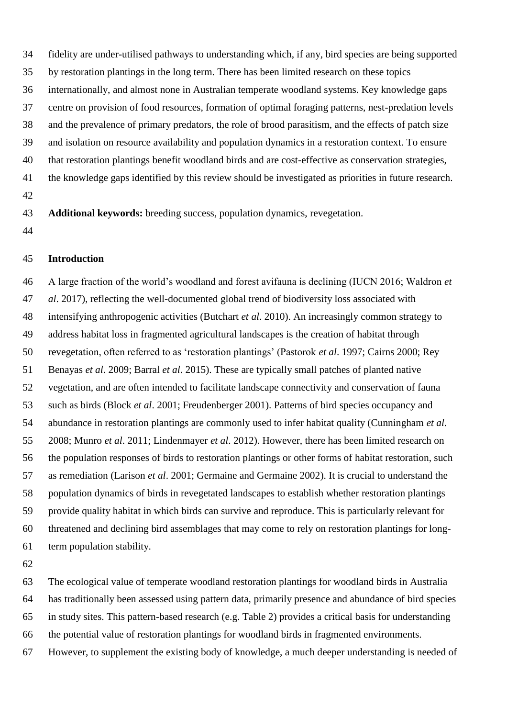fidelity are under-utilised pathways to understanding which, if any, bird species are being supported by restoration plantings in the long term. There has been limited research on these topics internationally, and almost none in Australian temperate woodland systems. Key knowledge gaps centre on provision of food resources, formation of optimal foraging patterns, nest-predation levels and the prevalence of primary predators, the role of brood parasitism, and the effects of patch size and isolation on resource availability and population dynamics in a restoration context. To ensure that restoration plantings benefit woodland birds and are cost-effective as conservation strategies, the knowledge gaps identified by this review should be investigated as priorities in future research.

**Additional keywords:** breeding success, population dynamics, revegetation.

### **Introduction**

 A large fraction of the world's woodland and forest avifauna is declining (IUCN 2016; Waldron *et al*. 2017), reflecting the well-documented global trend of biodiversity loss associated with intensifying anthropogenic activities (Butchart *et al*. 2010). An increasingly common strategy to address habitat loss in fragmented agricultural landscapes is the creation of habitat through revegetation, often referred to as 'restoration plantings' (Pastorok *et al*. 1997; Cairns 2000; Rey Benayas *et al*. 2009; Barral *et al*. 2015). These are typically small patches of planted native vegetation, and are often intended to facilitate landscape connectivity and conservation of fauna such as birds (Block *et al*. 2001; Freudenberger 2001). Patterns of bird species occupancy and abundance in restoration plantings are commonly used to infer habitat quality (Cunningham *et al*. 2008; Munro *et al*. 2011; Lindenmayer *et al*. 2012). However, there has been limited research on the population responses of birds to restoration plantings or other forms of habitat restoration, such as remediation (Larison *et al*. 2001; Germaine and Germaine 2002). It is crucial to understand the population dynamics of birds in revegetated landscapes to establish whether restoration plantings provide quality habitat in which birds can survive and reproduce. This is particularly relevant for threatened and declining bird assemblages that may come to rely on restoration plantings for long-term population stability.

 The ecological value of temperate woodland restoration plantings for woodland birds in Australia has traditionally been assessed using pattern data, primarily presence and abundance of bird species in study sites. This pattern-based research (e.g. Table 2) provides a critical basis for understanding the potential value of restoration plantings for woodland birds in fragmented environments.

However, to supplement the existing body of knowledge, a much deeper understanding is needed of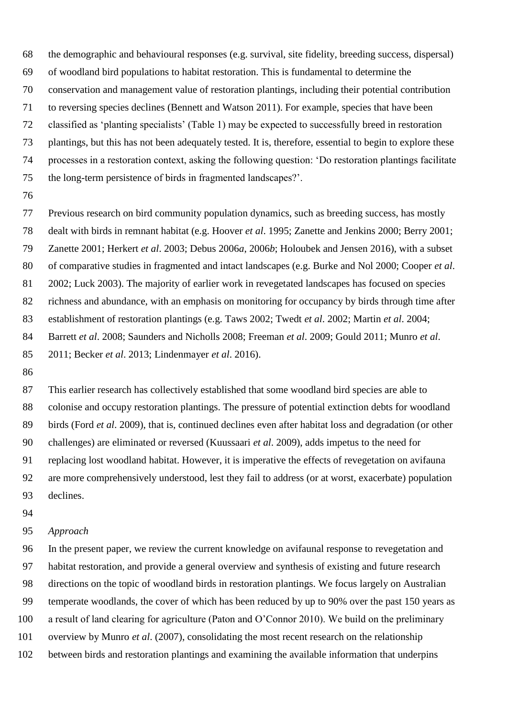the demographic and behavioural responses (e.g. survival, site fidelity, breeding success, dispersal) of woodland bird populations to habitat restoration. This is fundamental to determine the conservation and management value of restoration plantings, including their potential contribution to reversing species declines (Bennett and Watson 2011). For example, species that have been classified as 'planting specialists' (Table 1) may be expected to successfully breed in restoration plantings, but this has not been adequately tested. It is, therefore, essential to begin to explore these processes in a restoration context, asking the following question: 'Do restoration plantings facilitate the long-term persistence of birds in fragmented landscapes?'.

 Previous research on bird community population dynamics, such as breeding success, has mostly dealt with birds in remnant habitat (e.g. Hoover *et al*. 1995; Zanette and Jenkins 2000; Berry 2001; Zanette 2001; Herkert *et al*. 2003; Debus 2006*a*, 2006*b*; Holoubek and Jensen 2016), with a subset of comparative studies in fragmented and intact landscapes (e.g. Burke and Nol 2000; Cooper *et al*. 2002; Luck 2003). The majority of earlier work in revegetated landscapes has focused on species richness and abundance, with an emphasis on monitoring for occupancy by birds through time after establishment of restoration plantings (e.g. Taws 2002; Twedt *et al*. 2002; Martin *et al*. 2004; Barrett *et al*. 2008; Saunders and Nicholls 2008; Freeman *et al*. 2009; Gould 2011; Munro *et al*. 2011; Becker *et al*. 2013; Lindenmayer *et al*. 2016). 

 This earlier research has collectively established that some woodland bird species are able to colonise and occupy restoration plantings. The pressure of potential extinction debts for woodland birds (Ford *et al*. 2009), that is, continued declines even after habitat loss and degradation (or other challenges) are eliminated or reversed (Kuussaari *et al*. 2009), adds impetus to the need for replacing lost woodland habitat. However, it is imperative the effects of revegetation on avifauna are more comprehensively understood, lest they fail to address (or at worst, exacerbate) population declines.

### *Approach*

 In the present paper, we review the current knowledge on avifaunal response to revegetation and habitat restoration, and provide a general overview and synthesis of existing and future research directions on the topic of woodland birds in restoration plantings. We focus largely on Australian temperate woodlands, the cover of which has been reduced by up to 90% over the past 150 years as a result of land clearing for agriculture (Paton and O'Connor 2010). We build on the preliminary overview by Munro *et al*. (2007), consolidating the most recent research on the relationship between birds and restoration plantings and examining the available information that underpins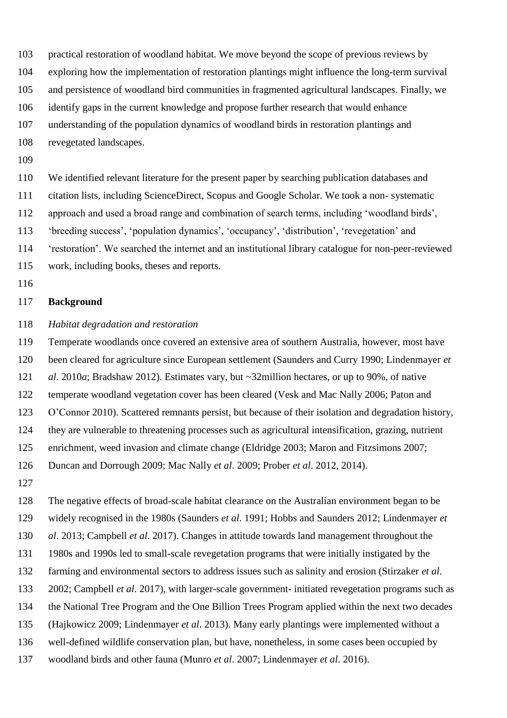- practical restoration of woodland habitat. We move beyond the scope of previous reviews by
- exploring how the implementation of restoration plantings might influence the long-term survival
- and persistence of woodland bird communities in fragmented agricultural landscapes. Finally, we
- identify gaps in the current knowledge and propose further research that would enhance
- understanding of the population dynamics of woodland birds in restoration plantings and
- revegetated landscapes.
- 
- We identified relevant literature for the present paper by searching publication databases and
- citation lists, including ScienceDirect, Scopus and Google Scholar. We took a non- systematic
- approach and used a broad range and combination of search terms, including 'woodland birds',
- 'breeding success', 'population dynamics', 'occupancy', 'distribution', 'revegetation' and
- 'restoration'. We searched the internet and an institutional library catalogue for non-peer-reviewed
- work, including books, theses and reports.
- 

#### **Background**

### *Habitat degradation and restoration*

 Temperate woodlands once covered an extensive area of southern Australia, however, most have been cleared for agriculture since European settlement (Saunders and Curry 1990; Lindenmayer *et* 

*al*. 2010*a*; Bradshaw 2012). Estimates vary, but ~32million hectares, or up to 90%, of native

- temperate woodland vegetation cover has been cleared (Vesk and Mac Nally 2006; Paton and
- O'Connor 2010). Scattered remnants persist, but because of their isolation and degradation history,
- they are vulnerable to threatening processes such as agricultural intensification, grazing, nutrient
- enrichment, weed invasion and climate change (Eldridge 2003; Maron and Fitzsimons 2007;
- Duncan and Dorrough 2009; Mac Nally *et al*. 2009; Prober *et al*. 2012, 2014).
- 

 The negative effects of broad-scale habitat clearance on the Australian environment began to be widely recognised in the 1980s (Saunders *et al*. 1991; Hobbs and Saunders 2012; Lindenmayer *et* 

- 
- *al*. 2013; Campbell *et al*. 2017). Changes in attitude towards land management throughout the
- 1980s and 1990s led to small-scale revegetation programs that were initially instigated by the
- farming and environmental sectors to address issues such as salinity and erosion (Stirzaker *et al*.
- 2002; Campbell *et al*. 2017), with larger-scale government- initiated revegetation programs such as
- the National Tree Program and the One Billion Trees Program applied within the next two decades
- (Hajkowicz 2009; Lindenmayer *et al*. 2013). Many early plantings were implemented without a
- well-defined wildlife conservation plan, but have, nonetheless, in some cases been occupied by
- woodland birds and other fauna (Munro *et al*. 2007; Lindenmayer *et al*. 2016).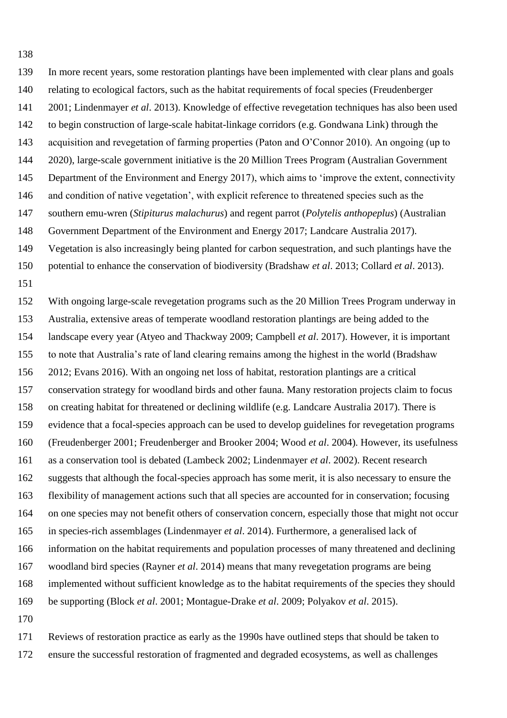- In more recent years, some restoration plantings have been implemented with clear plans and goals relating to ecological factors, such as the habitat requirements of focal species (Freudenberger 2001; Lindenmayer *et al*. 2013). Knowledge of effective revegetation techniques has also been used to begin construction of large-scale habitat-linkage corridors (e.g. Gondwana Link) through the acquisition and revegetation of farming properties (Paton and O'Connor 2010). An ongoing (up to 2020), large-scale government initiative is the 20 Million Trees Program (Australian Government Department of the Environment and Energy 2017), which aims to 'improve the extent, connectivity and condition of native vegetation', with explicit reference to threatened species such as the southern emu-wren (*Stipiturus malachurus*) and regent parrot (*Polytelis anthopeplus*) (Australian Government Department of the Environment and Energy 2017; Landcare Australia 2017). Vegetation is also increasingly being planted for carbon sequestration, and such plantings have the potential to enhance the conservation of biodiversity (Bradshaw *et al*. 2013; Collard *et al*. 2013).
- 

 With ongoing large-scale revegetation programs such as the 20 Million Trees Program underway in Australia, extensive areas of temperate woodland restoration plantings are being added to the landscape every year (Atyeo and Thackway 2009; Campbell *et al*. 2017). However, it is important to note that Australia's rate of land clearing remains among the highest in the world (Bradshaw 2012; Evans 2016). With an ongoing net loss of habitat, restoration plantings are a critical conservation strategy for woodland birds and other fauna. Many restoration projects claim to focus on creating habitat for threatened or declining wildlife (e.g. Landcare Australia 2017). There is evidence that a focal-species approach can be used to develop guidelines for revegetation programs (Freudenberger 2001; Freudenberger and Brooker 2004; Wood *et al*. 2004). However, its usefulness as a conservation tool is debated (Lambeck 2002; Lindenmayer *et al*. 2002). Recent research suggests that although the focal-species approach has some merit, it is also necessary to ensure the flexibility of management actions such that all species are accounted for in conservation; focusing on one species may not benefit others of conservation concern, especially those that might not occur in species-rich assemblages (Lindenmayer *et al*. 2014). Furthermore, a generalised lack of information on the habitat requirements and population processes of many threatened and declining woodland bird species (Rayner *et al*. 2014) means that many revegetation programs are being implemented without sufficient knowledge as to the habitat requirements of the species they should be supporting (Block *et al*. 2001; Montague-Drake *et al*. 2009; Polyakov *et al*. 2015). 

 Reviews of restoration practice as early as the 1990s have outlined steps that should be taken to ensure the successful restoration of fragmented and degraded ecosystems, as well as challenges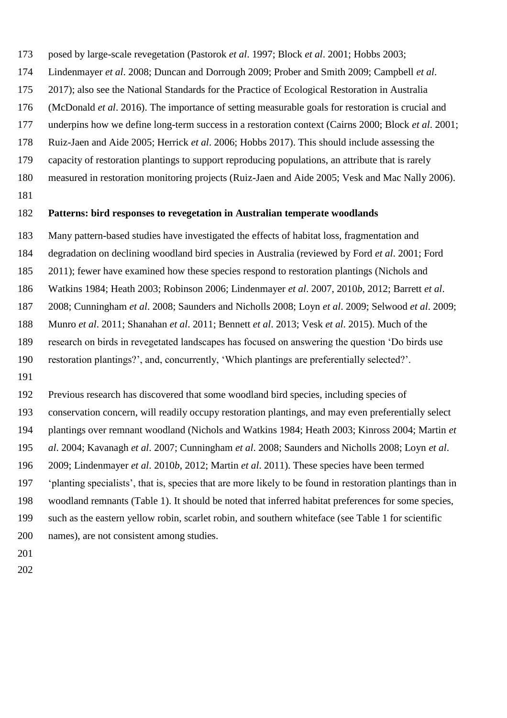- posed by large-scale revegetation (Pastorok *et al*. 1997; Block *et al*. 2001; Hobbs 2003;
- Lindenmayer *et al*. 2008; Duncan and Dorrough 2009; Prober and Smith 2009; Campbell *et al*.
- 2017); also see the National Standards for the Practice of Ecological Restoration in Australia
- (McDonald *et al*. 2016). The importance of setting measurable goals for restoration is crucial and
- underpins how we define long-term success in a restoration context (Cairns 2000; Block *et al*. 2001;
- Ruiz-Jaen and Aide 2005; Herrick *et al*. 2006; Hobbs 2017). This should include assessing the
- capacity of restoration plantings to support reproducing populations, an attribute that is rarely
- measured in restoration monitoring projects (Ruiz-Jaen and Aide 2005; Vesk and Mac Nally 2006).
- 

### **Patterns: bird responses to revegetation in Australian temperate woodlands**

- Many pattern-based studies have investigated the effects of habitat loss, fragmentation and
- degradation on declining woodland bird species in Australia (reviewed by Ford *et al*. 2001; Ford
- 2011); fewer have examined how these species respond to restoration plantings (Nichols and
- Watkins 1984; Heath 2003; Robinson 2006; Lindenmayer *et al*. 2007, 2010*b*, 2012; Barrett *et al*.
- 2008; Cunningham *et al*. 2008; Saunders and Nicholls 2008; Loyn *et al*. 2009; Selwood *et al*. 2009;
- Munro *et al*. 2011; Shanahan *et al*. 2011; Bennett *et al*. 2013; Vesk *et al*. 2015). Much of the
- research on birds in revegetated landscapes has focused on answering the question 'Do birds use
- restoration plantings?', and, concurrently, 'Which plantings are preferentially selected?'.
- 
- Previous research has discovered that some woodland bird species, including species of
- conservation concern, will readily occupy restoration plantings, and may even preferentially select
- plantings over remnant woodland (Nichols and Watkins 1984; Heath 2003; Kinross 2004; Martin *et*
- *al*. 2004; Kavanagh *et al*. 2007; Cunningham *et al*. 2008; Saunders and Nicholls 2008; Loyn *et al*.
- 2009; Lindenmayer *et al*. 2010*b*, 2012; Martin *et al*. 2011). These species have been termed
- 'planting specialists', that is, species that are more likely to be found in restoration plantings than in
- woodland remnants (Table 1). It should be noted that inferred habitat preferences for some species,
- such as the eastern yellow robin, scarlet robin, and southern whiteface (see Table 1 for scientific
- names), are not consistent among studies.
- 
-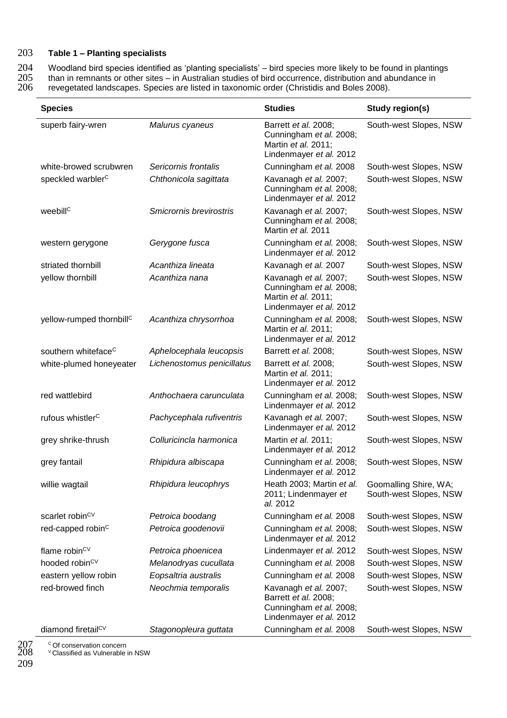### 203 **Table 1 – Planting specialists**

204 Woodland bird species identified as 'planting specialists' – bird species more likely to be found in plantings<br>205 than in remnants or other sites – in Australian studies of bird occurrence, distribution and abundance 205 than in remnants or other sites – in Australian studies of bird occurrence, distribution and abundance in<br>206 revegetated landscapes. Species are listed in taxonomic order (Christidis and Boles 2008).

206 revegetated landscapes. Species are listed in taxonomic order (Christidis and Boles 2008).

| <b>Species</b>                       |                            | <b>Studies</b>                                                                                      | Study region(s)                                 |
|--------------------------------------|----------------------------|-----------------------------------------------------------------------------------------------------|-------------------------------------------------|
| superb fairy-wren                    | Malurus cyaneus            | Barrett et al. 2008;<br>Cunningham et al. 2008;<br>Martin et al. 2011;<br>Lindenmayer et al. 2012   | South-west Slopes, NSW                          |
| white-browed scrubwren               | Sericornis frontalis       | Cunningham et al. 2008                                                                              | South-west Slopes, NSW                          |
| speckled warbler <sup>C</sup>        | Chthonicola sagittata      | Kavanagh et al. 2007;<br>Cunningham et al. 2008;<br>Lindenmayer et al. 2012                         | South-west Slopes, NSW                          |
| weebill <sup>c</sup>                 | Smicrornis brevirostris    | Kavanagh et al. 2007;<br>Cunningham et al. 2008;<br>Martin et al. 2011                              | South-west Slopes, NSW                          |
| western gerygone                     | Gerygone fusca             | Cunningham et al. 2008;<br>Lindenmayer et al. 2012                                                  | South-west Slopes, NSW                          |
| striated thornbill                   | Acanthiza lineata          | Kavanagh et al. 2007                                                                                | South-west Slopes, NSW                          |
| yellow thornbill                     | Acanthiza nana             | Kavanagh et al. 2007;<br>Cunningham et al. 2008;<br>Martin et al. 2011;<br>Lindenmayer et al. 2012  | South-west Slopes, NSW                          |
| yellow-rumped thornbill <sup>c</sup> | Acanthiza chrysorrhoa      | Cunningham et al. 2008;<br>Martin et al. 2011;<br>Lindenmayer et al. 2012                           | South-west Slopes, NSW                          |
| southern whiteface <sup>C</sup>      | Aphelocephala leucopsis    | Barrett et al. 2008;                                                                                | South-west Slopes, NSW                          |
| white-plumed honeyeater              | Lichenostomus penicillatus | Barrett et al. 2008;<br>Martin et al. 2011;<br>Lindenmayer et al. 2012                              | South-west Slopes, NSW                          |
| red wattlebird                       | Anthochaera carunculata    | Cunningham et al. 2008;<br>Lindenmayer et al. 2012                                                  | South-west Slopes, NSW                          |
| rufous whistler <sup>c</sup>         | Pachycephala rufiventris   | Kavanagh et al. 2007;<br>Lindenmayer et al. 2012                                                    | South-west Slopes, NSW                          |
| grey shrike-thrush                   | Colluricincla harmonica    | Martin et al. 2011;<br>Lindenmayer et al. 2012                                                      | South-west Slopes, NSW                          |
| grey fantail                         | Rhipidura albiscapa        | Cunningham et al. 2008;<br>Lindenmayer et al. 2012                                                  | South-west Slopes, NSW                          |
| willie wagtail                       | Rhipidura leucophrys       | Heath 2003; Martin et al.<br>2011; Lindenmayer et<br>al. 2012                                       | Goomalling Shire, WA;<br>South-west Slopes, NSW |
| scarlet robin <sup>CV</sup>          | Petroica boodang           | Cunningham et al. 2008                                                                              | South-west Slopes, NSW                          |
| red-capped robin <sup>c</sup>        | Petroica goodenovii        | Cunningham et al. 2008;<br>Lindenmayer et al. 2012                                                  | South-west Slopes, NSW                          |
| flame robin <sup>cv</sup>            | Petroica phoenicea         | Lindenmayer et al. 2012                                                                             | South-west Slopes, NSW                          |
| hooded robin <sup>CV</sup>           | Melanodryas cucullata      | Cunningham et al. 2008                                                                              | South-west Slopes, NSW                          |
| eastern yellow robin                 | Eopsaltria australis       | Cunningham et al. 2008                                                                              | South-west Slopes, NSW                          |
| red-browed finch                     | Neochmia temporalis        | Kavanagh et al. 2007;<br>Barrett et al. 2008;<br>Cunningham et al. 2008;<br>Lindenmayer et al. 2012 | South-west Slopes, NSW                          |
| diamond firetail <sup>CV</sup>       | Stagonopleura guttata      | Cunningham et al. 2008                                                                              | South-west Slopes, NSW                          |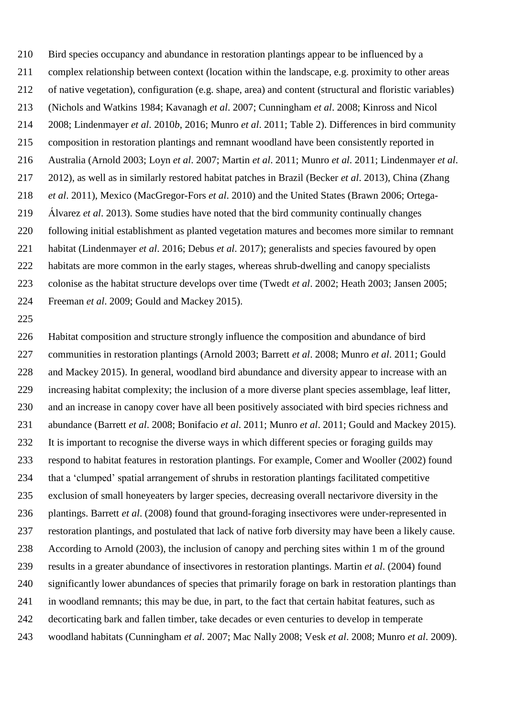Bird species occupancy and abundance in restoration plantings appear to be influenced by a complex relationship between context (location within the landscape, e.g. proximity to other areas of native vegetation), configuration (e.g. shape, area) and content (structural and floristic variables) (Nichols and Watkins 1984; Kavanagh *et al*. 2007; Cunningham *et al*. 2008; Kinross and Nicol 2008; Lindenmayer *et al*. 2010*b*, 2016; Munro *et al*. 2011; Table 2). Differences in bird community composition in restoration plantings and remnant woodland have been consistently reported in Australia (Arnold 2003; Loyn *et al*. 2007; Martin *et al*. 2011; Munro *et al*. 2011; Lindenmayer *et al*. 2012), as well as in similarly restored habitat patches in Brazil (Becker *et al*. 2013), China (Zhang *et al*. 2011), Mexico (MacGregor-Fors *et al*. 2010) and the United States (Brawn 2006; Ortega- Álvarez *et al*. 2013). Some studies have noted that the bird community continually changes following initial establishment as planted vegetation matures and becomes more similar to remnant habitat (Lindenmayer *et al*. 2016; Debus *et al*. 2017); generalists and species favoured by open 222 habitats are more common in the early stages, whereas shrub-dwelling and canopy specialists colonise as the habitat structure develops over time (Twedt *et al*. 2002; Heath 2003; Jansen 2005; Freeman *et al*. 2009; Gould and Mackey 2015).

 Habitat composition and structure strongly influence the composition and abundance of bird communities in restoration plantings (Arnold 2003; Barrett *et al*. 2008; Munro *et al*. 2011; Gould and Mackey 2015). In general, woodland bird abundance and diversity appear to increase with an increasing habitat complexity; the inclusion of a more diverse plant species assemblage, leaf litter, and an increase in canopy cover have all been positively associated with bird species richness and abundance (Barrett *et al*. 2008; Bonifacio *et al*. 2011; Munro *et al*. 2011; Gould and Mackey 2015). It is important to recognise the diverse ways in which different species or foraging guilds may respond to habitat features in restoration plantings. For example, Comer and Wooller (2002) found that a 'clumped' spatial arrangement of shrubs in restoration plantings facilitated competitive exclusion of small honeyeaters by larger species, decreasing overall nectarivore diversity in the plantings. Barrett *et al*. (2008) found that ground-foraging insectivores were under-represented in restoration plantings, and postulated that lack of native forb diversity may have been a likely cause. According to Arnold (2003), the inclusion of canopy and perching sites within 1 m of the ground results in a greater abundance of insectivores in restoration plantings. Martin *et al*. (2004) found significantly lower abundances of species that primarily forage on bark in restoration plantings than in woodland remnants; this may be due, in part, to the fact that certain habitat features, such as decorticating bark and fallen timber, take decades or even centuries to develop in temperate woodland habitats (Cunningham *et al*. 2007; Mac Nally 2008; Vesk *et al*. 2008; Munro *et al*. 2009).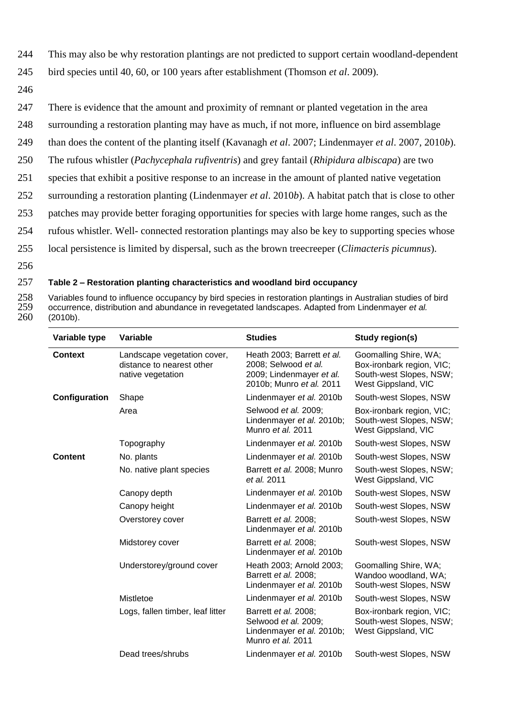- 244 This may also be why restoration plantings are not predicted to support certain woodland-dependent
- 245 bird species until 40, 60, or 100 years after establishment (Thomson *et al*. 2009).
- 246
- 247 There is evidence that the amount and proximity of remnant or planted vegetation in the area
- 248 surrounding a restoration planting may have as much, if not more, influence on bird assemblage
- 249 than does the content of the planting itself (Kavanagh *et al*. 2007; Lindenmayer *et al*. 2007, 2010*b*).
- 250 The rufous whistler (*Pachycephala rufiventris*) and grey fantail (*Rhipidura albiscapa*) are two
- 251 species that exhibit a positive response to an increase in the amount of planted native vegetation
- 252 surrounding a restoration planting (Lindenmayer *et al*. 2010*b*). A habitat patch that is close to other
- 253 patches may provide better foraging opportunities for species with large home ranges, such as the
- 254 rufous whistler. Well- connected restoration plantings may also be key to supporting species whose
- 255 local persistence is limited by dispersal, such as the brown treecreeper (*Climacteris picumnus*).
- 256

### 257 **Table 2 – Restoration planting characteristics and woodland bird occupancy**

258 Variables found to influence occupancy by bird species in restoration plantings in Australian studies of bird<br>259 occurrence, distribution and abundance in revegetated landscapes. Adapted from Lindenmayer et al. 259 occurrence, distribution and abundance in revegetated landscapes. Adapted from Lindenmayer *et al.*  $(2010b).$ 

| Variable type  | Variable                                                                      | <b>Studies</b>                                                                                             | Study region(s)                                                                                      |
|----------------|-------------------------------------------------------------------------------|------------------------------------------------------------------------------------------------------------|------------------------------------------------------------------------------------------------------|
| <b>Context</b> | Landscape vegetation cover,<br>distance to nearest other<br>native vegetation | Heath 2003; Barrett et al.<br>2008; Selwood et al.<br>2009; Lindenmayer et al.<br>2010b; Munro et al. 2011 | Goomalling Shire, WA;<br>Box-ironbark region, VIC;<br>South-west Slopes, NSW;<br>West Gippsland, VIC |
| Configuration  | Shape                                                                         | Lindenmayer et al. 2010b                                                                                   | South-west Slopes, NSW                                                                               |
|                | Area                                                                          | Selwood et al. 2009;<br>Lindenmayer et al. 2010b;<br>Munro et al. 2011                                     | Box-ironbark region, VIC;<br>South-west Slopes, NSW;<br>West Gippsland, VIC                          |
|                | Topography                                                                    | Lindenmayer et al. 2010b                                                                                   | South-west Slopes, NSW                                                                               |
| <b>Content</b> | No. plants                                                                    | Lindenmayer et al. 2010b                                                                                   | South-west Slopes, NSW                                                                               |
|                | No. native plant species                                                      | Barrett et al. 2008; Munro<br>et al. 2011                                                                  | South-west Slopes, NSW;<br>West Gippsland, VIC                                                       |
|                | Canopy depth                                                                  | Lindenmayer et al. 2010b                                                                                   | South-west Slopes, NSW                                                                               |
|                | Canopy height                                                                 | Lindenmayer et al. 2010b                                                                                   | South-west Slopes, NSW                                                                               |
|                | Overstorey cover                                                              | Barrett et al. 2008;<br>Lindenmayer et al. 2010b                                                           | South-west Slopes, NSW                                                                               |
|                | Midstorey cover                                                               | Barrett et al. 2008;<br>Lindenmayer et al. 2010b                                                           | South-west Slopes, NSW                                                                               |
|                | Understorey/ground cover                                                      | Heath 2003; Arnold 2003;<br>Barrett et al. 2008;<br>Lindenmayer et al. 2010b                               | Goomalling Shire, WA;<br>Wandoo woodland, WA;<br>South-west Slopes, NSW                              |
|                | Mistletoe                                                                     | Lindenmayer et al. 2010b                                                                                   | South-west Slopes, NSW                                                                               |
|                | Logs, fallen timber, leaf litter                                              | Barrett et al. 2008;<br>Selwood et al. 2009;<br>Lindenmayer et al. 2010b;<br>Munro et al. 2011             | Box-ironbark region, VIC;<br>South-west Slopes, NSW;<br>West Gippsland, VIC                          |
|                | Dead trees/shrubs                                                             | Lindenmayer et al. 2010b                                                                                   | South-west Slopes, NSW                                                                               |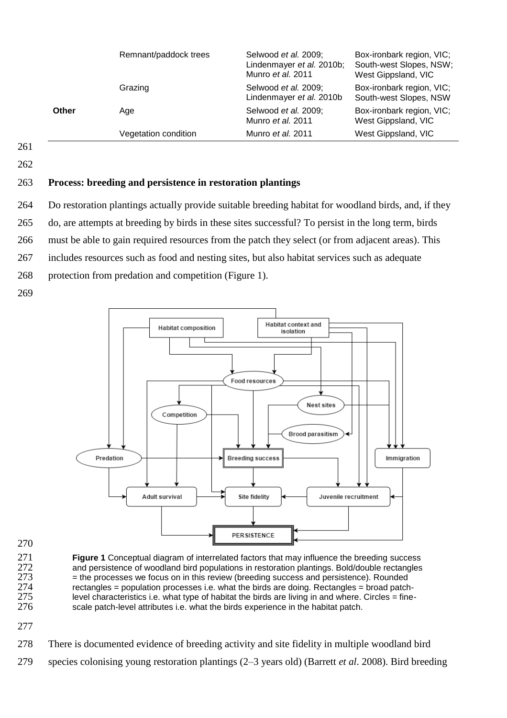|       | Remnant/paddock trees | Selwood et al. 2009;<br>Lindenmayer et al. 2010b;<br>Munro et al. 2011 | Box-ironbark region, VIC;<br>South-west Slopes, NSW;<br>West Gippsland, VIC |
|-------|-----------------------|------------------------------------------------------------------------|-----------------------------------------------------------------------------|
|       | Grazing               | Selwood et al. 2009;<br>Lindenmayer et al. 2010b                       | Box-ironbark region, VIC;<br>South-west Slopes, NSW                         |
| Other | Age                   | Selwood et al. 2009;<br>Munro et al. 2011                              | Box-ironbark region, VIC;<br>West Gippsland, VIC                            |
|       | Vegetation condition  | Munro et al. 2011                                                      | West Gippsland, VIC                                                         |

- 261
- 262

### 263 **Process: breeding and persistence in restoration plantings**

264 Do restoration plantings actually provide suitable breeding habitat for woodland birds, and, if they

265 do, are attempts at breeding by birds in these sites successful? To persist in the long term, birds

266 must be able to gain required resources from the patch they select (or from adjacent areas). This

267 includes resources such as food and nesting sites, but also habitat services such as adequate

- 268 protection from predation and competition (Figure 1).
- 269



270

271 **Figure 1** Conceptual diagram of interrelated factors that may influence the breeding success<br>272 and persistence of woodland bird populations in restoration plantings. Bold/double rectangles 272 and persistence of woodland bird populations in restoration plantings. Bold/double rectangles<br>273  $=$  the processes we focus on in this review (breeding success and persistence). Rounded  $273$  = the processes we focus on in this review (breeding success and persistence). Rounded <br> $274$  rectangles = population processes i.e. what the birds are doing. Rectangles = broad patch 274 rectangles = population processes i.e. what the birds are doing. Rectangles = broad patch-<br>275 level characteristics i.e. what type of habitat the birds are living in and where. Circles = fine-275 level characteristics i.e. what type of habitat the birds are living in and where. Circles = fine-<br>276 scale patch-level attributes i.e. what the birds experience in the habitat patch. scale patch-level attributes i.e. what the birds experience in the habitat patch.

277

278 There is documented evidence of breeding activity and site fidelity in multiple woodland bird

279 species colonising young restoration plantings (2–3 years old) (Barrett *et al*. 2008). Bird breeding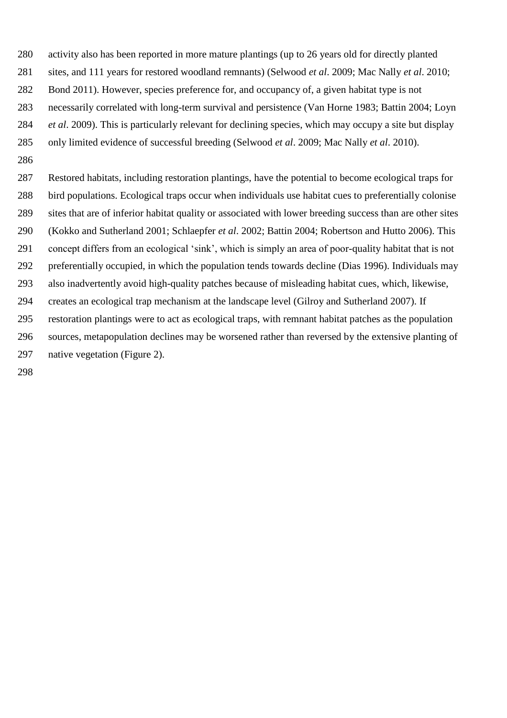- activity also has been reported in more mature plantings (up to 26 years old for directly planted
- sites, and 111 years for restored woodland remnants) (Selwood *et al*. 2009; Mac Nally *et al*. 2010;
- Bond 2011). However, species preference for, and occupancy of, a given habitat type is not
- necessarily correlated with long-term survival and persistence (Van Horne 1983; Battin 2004; Loyn
- *et al*. 2009). This is particularly relevant for declining species, which may occupy a site but display
- only limited evidence of successful breeding (Selwood *et al*. 2009; Mac Nally *et al*. 2010).
- 

 Restored habitats, including restoration plantings, have the potential to become ecological traps for bird populations. Ecological traps occur when individuals use habitat cues to preferentially colonise sites that are of inferior habitat quality or associated with lower breeding success than are other sites (Kokko and Sutherland 2001; Schlaepfer *et al*. 2002; Battin 2004; Robertson and Hutto 2006). This concept differs from an ecological 'sink', which is simply an area of poor-quality habitat that is not preferentially occupied, in which the population tends towards decline (Dias 1996). Individuals may also inadvertently avoid high-quality patches because of misleading habitat cues, which, likewise, creates an ecological trap mechanism at the landscape level (Gilroy and Sutherland 2007). If restoration plantings were to act as ecological traps, with remnant habitat patches as the population sources, metapopulation declines may be worsened rather than reversed by the extensive planting of native vegetation (Figure 2).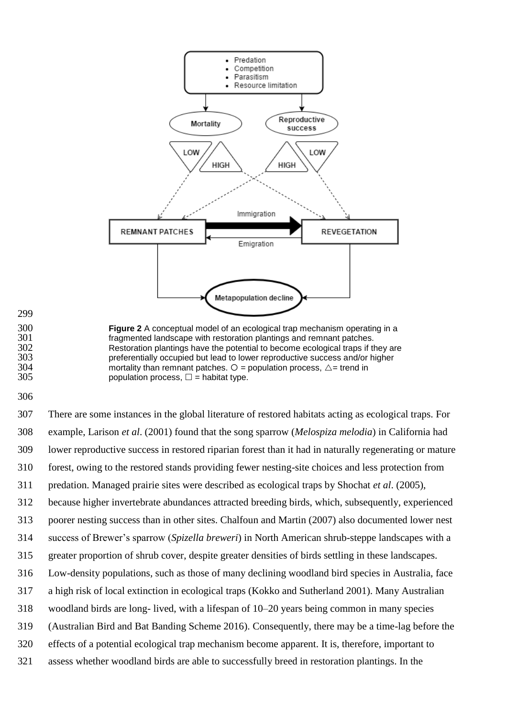

300 **Figure 2** A conceptual model of an ecological trap mechanism operating in a<br>301 **Figure 1** fragmented landscape with restoration plantings and remnant patches. 301 fragmented landscape with restoration plantings and remnant patches.<br>302 **Restoration plantings have the potential to become ecological traps if tl** 302 Restoration plantings have the potential to become ecological traps if they are<br>303 preferentially occupied but lead to lower reproductive success and/or higher 303 preferentially occupied but lead to lower reproductive success and/or higher 304 comportality than remnant patches.  $\bigcirc$  = population process,  $\bigtriangleup$  = trend in 304 mortality than remnant patches.  $O =$  population process,  $\triangle =$  trend in 305 population process,  $\square$  = habitat type.

 There are some instances in the global literature of restored habitats acting as ecological traps. For example, Larison *et al*. (2001) found that the song sparrow (*Melospiza melodia*) in California had lower reproductive success in restored riparian forest than it had in naturally regenerating or mature forest, owing to the restored stands providing fewer nesting-site choices and less protection from predation. Managed prairie sites were described as ecological traps by Shochat *et al*. (2005), because higher invertebrate abundances attracted breeding birds, which, subsequently, experienced poorer nesting success than in other sites. Chalfoun and Martin (2007) also documented lower nest success of Brewer's sparrow (*Spizella breweri*) in North American shrub-steppe landscapes with a greater proportion of shrub cover, despite greater densities of birds settling in these landscapes. Low-density populations, such as those of many declining woodland bird species in Australia, face a high risk of local extinction in ecological traps (Kokko and Sutherland 2001). Many Australian woodland birds are long- lived, with a lifespan of 10–20 years being common in many species (Australian Bird and Bat Banding Scheme 2016). Consequently, there may be a time-lag before the effects of a potential ecological trap mechanism become apparent. It is, therefore, important to assess whether woodland birds are able to successfully breed in restoration plantings. In the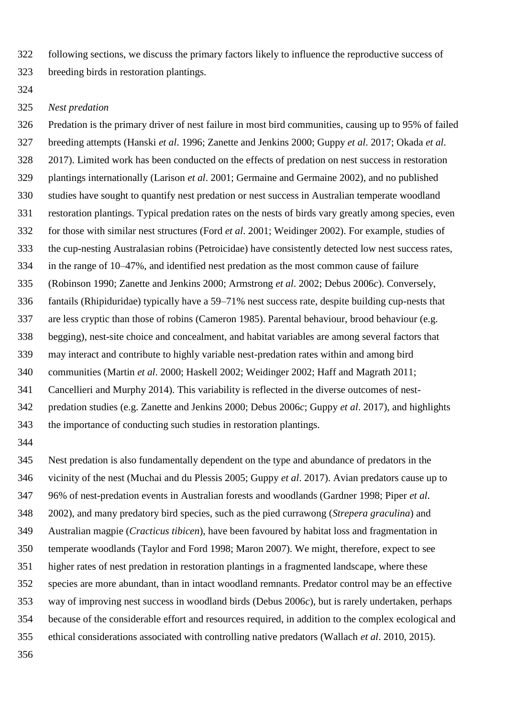following sections, we discuss the primary factors likely to influence the reproductive success of breeding birds in restoration plantings.

### *Nest predation*

 Predation is the primary driver of nest failure in most bird communities, causing up to 95% of failed breeding attempts (Hanski *et al*. 1996; Zanette and Jenkins 2000; Guppy *et al*. 2017; Okada *et al*. 2017). Limited work has been conducted on the effects of predation on nest success in restoration plantings internationally (Larison *et al*. 2001; Germaine and Germaine 2002), and no published studies have sought to quantify nest predation or nest success in Australian temperate woodland restoration plantings. Typical predation rates on the nests of birds vary greatly among species, even for those with similar nest structures (Ford *et al*. 2001; Weidinger 2002). For example, studies of the cup-nesting Australasian robins (Petroicidae) have consistently detected low nest success rates, in the range of 10–47%, and identified nest predation as the most common cause of failure (Robinson 1990; Zanette and Jenkins 2000; Armstrong *et al*. 2002; Debus 2006*c*). Conversely, fantails (Rhipiduridae) typically have a 59–71% nest success rate, despite building cup-nests that are less cryptic than those of robins (Cameron 1985). Parental behaviour, brood behaviour (e.g. begging), nest-site choice and concealment, and habitat variables are among several factors that may interact and contribute to highly variable nest-predation rates within and among bird communities (Martin *et al*. 2000; Haskell 2002; Weidinger 2002; Haff and Magrath 2011; Cancellieri and Murphy 2014). This variability is reflected in the diverse outcomes of nest-predation studies (e.g. Zanette and Jenkins 2000; Debus 2006*c*; Guppy *et al*. 2017), and highlights

the importance of conducting such studies in restoration plantings.

 Nest predation is also fundamentally dependent on the type and abundance of predators in the vicinity of the nest (Muchai and du Plessis 2005; Guppy *et al*. 2017). Avian predators cause up to 96% of nest-predation events in Australian forests and woodlands (Gardner 1998; Piper *et al*. 2002), and many predatory bird species, such as the pied currawong (*Strepera graculina*) and Australian magpie (*Cracticus tibicen*), have been favoured by habitat loss and fragmentation in temperate woodlands (Taylor and Ford 1998; Maron 2007). We might, therefore, expect to see higher rates of nest predation in restoration plantings in a fragmented landscape, where these species are more abundant, than in intact woodland remnants. Predator control may be an effective way of improving nest success in woodland birds (Debus 2006*c*), but is rarely undertaken, perhaps because of the considerable effort and resources required, in addition to the complex ecological and ethical considerations associated with controlling native predators (Wallach *et al*. 2010, 2015).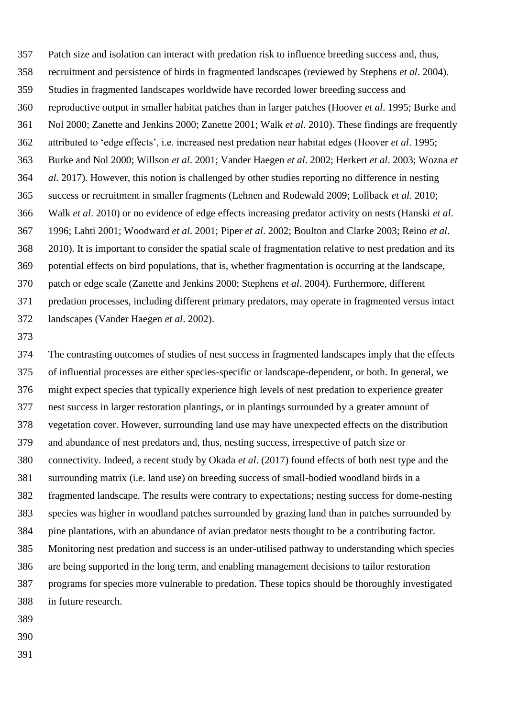Patch size and isolation can interact with predation risk to influence breeding success and, thus, recruitment and persistence of birds in fragmented landscapes (reviewed by Stephens *et al*. 2004). Studies in fragmented landscapes worldwide have recorded lower breeding success and reproductive output in smaller habitat patches than in larger patches (Hoover *et al*. 1995; Burke and Nol 2000; Zanette and Jenkins 2000; Zanette 2001; Walk *et al*. 2010). These findings are frequently attributed to 'edge effects', i.e. increased nest predation near habitat edges (Hoover *et al*. 1995; Burke and Nol 2000; Willson *et al*. 2001; Vander Haegen *et al*. 2002; Herkert *et al*. 2003; Wozna *et al*. 2017). However, this notion is challenged by other studies reporting no difference in nesting success or recruitment in smaller fragments (Lehnen and Rodewald 2009; Lollback *et al*. 2010; Walk *et al*. 2010) or no evidence of edge effects increasing predator activity on nests (Hanski *et al*. 1996; Lahti 2001; Woodward *et al*. 2001; Piper *et al*. 2002; Boulton and Clarke 2003; Reino *et al*. 2010). It is important to consider the spatial scale of fragmentation relative to nest predation and its potential effects on bird populations, that is, whether fragmentation is occurring at the landscape, patch or edge scale (Zanette and Jenkins 2000; Stephens *et al*. 2004). Furthermore, different predation processes, including different primary predators, may operate in fragmented versus intact landscapes (Vander Haegen *et al*. 2002).

 The contrasting outcomes of studies of nest success in fragmented landscapes imply that the effects of influential processes are either species-specific or landscape-dependent, or both. In general, we might expect species that typically experience high levels of nest predation to experience greater nest success in larger restoration plantings, or in plantings surrounded by a greater amount of vegetation cover. However, surrounding land use may have unexpected effects on the distribution and abundance of nest predators and, thus, nesting success, irrespective of patch size or connectivity. Indeed, a recent study by Okada *et al*. (2017) found effects of both nest type and the surrounding matrix (i.e. land use) on breeding success of small-bodied woodland birds in a fragmented landscape. The results were contrary to expectations; nesting success for dome-nesting species was higher in woodland patches surrounded by grazing land than in patches surrounded by pine plantations, with an abundance of avian predator nests thought to be a contributing factor. Monitoring nest predation and success is an under-utilised pathway to understanding which species are being supported in the long term, and enabling management decisions to tailor restoration programs for species more vulnerable to predation. These topics should be thoroughly investigated in future research.

- 
- 
-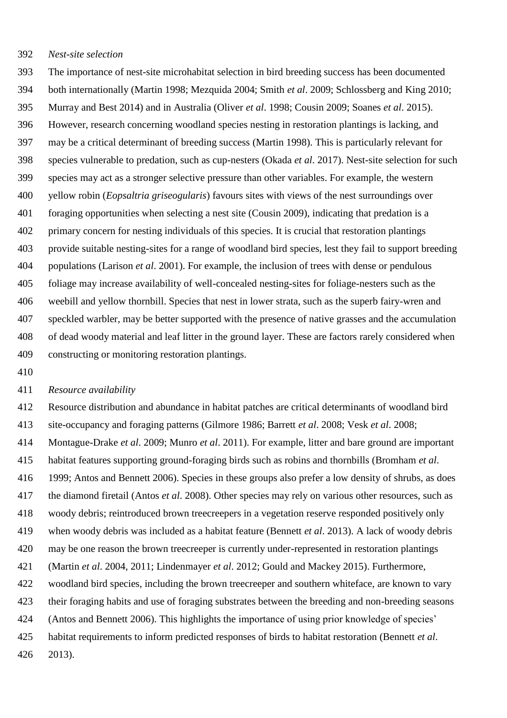### *Nest-site selection*

 The importance of nest-site microhabitat selection in bird breeding success has been documented both internationally (Martin 1998; Mezquida 2004; Smith *et al*. 2009; Schlossberg and King 2010; Murray and Best 2014) and in Australia (Oliver *et al*. 1998; Cousin 2009; Soanes *et al*. 2015). However, research concerning woodland species nesting in restoration plantings is lacking, and may be a critical determinant of breeding success (Martin 1998). This is particularly relevant for species vulnerable to predation, such as cup-nesters (Okada *et al*. 2017). Nest-site selection for such species may act as a stronger selective pressure than other variables. For example, the western yellow robin (*Eopsaltria griseogularis*) favours sites with views of the nest surroundings over foraging opportunities when selecting a nest site (Cousin 2009), indicating that predation is a primary concern for nesting individuals of this species. It is crucial that restoration plantings provide suitable nesting-sites for a range of woodland bird species, lest they fail to support breeding populations (Larison *et al*. 2001). For example, the inclusion of trees with dense or pendulous foliage may increase availability of well-concealed nesting-sites for foliage-nesters such as the weebill and yellow thornbill. Species that nest in lower strata, such as the superb fairy-wren and speckled warbler, may be better supported with the presence of native grasses and the accumulation of dead woody material and leaf litter in the ground layer. These are factors rarely considered when constructing or monitoring restoration plantings.

### *Resource availability*

 Resource distribution and abundance in habitat patches are critical determinants of woodland bird site-occupancy and foraging patterns (Gilmore 1986; Barrett *et al*. 2008; Vesk *et al*. 2008; Montague-Drake *et al*. 2009; Munro *et al*. 2011). For example, litter and bare ground are important habitat features supporting ground-foraging birds such as robins and thornbills (Bromham *et al*. 1999; Antos and Bennett 2006). Species in these groups also prefer a low density of shrubs, as does the diamond firetail (Antos *et al*. 2008). Other species may rely on various other resources, such as woody debris; reintroduced brown treecreepers in a vegetation reserve responded positively only when woody debris was included as a habitat feature (Bennett *et al*. 2013). A lack of woody debris may be one reason the brown treecreeper is currently under-represented in restoration plantings (Martin *et al*. 2004, 2011; Lindenmayer *et al*. 2012; Gould and Mackey 2015). Furthermore, woodland bird species, including the brown treecreeper and southern whiteface, are known to vary their foraging habits and use of foraging substrates between the breeding and non-breeding seasons (Antos and Bennett 2006). This highlights the importance of using prior knowledge of species' habitat requirements to inform predicted responses of birds to habitat restoration (Bennett *et al*. 2013).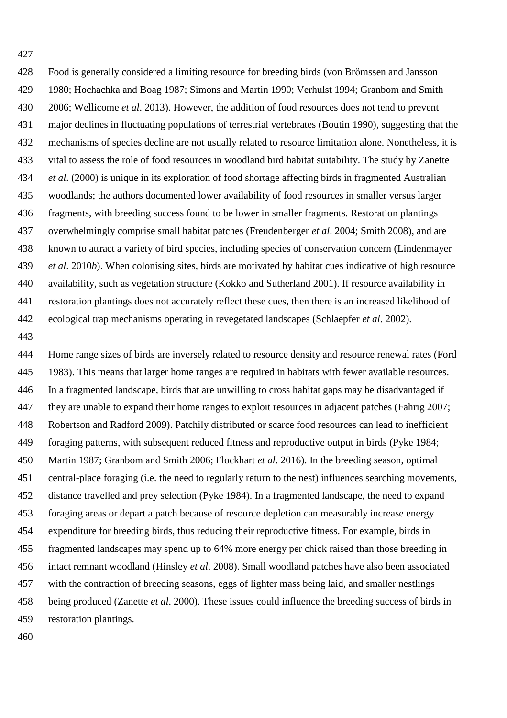Food is generally considered a limiting resource for breeding birds (von Brömssen and Jansson 1980; Hochachka and Boag 1987; Simons and Martin 1990; Verhulst 1994; Granbom and Smith 2006; Wellicome *et al*. 2013). However, the addition of food resources does not tend to prevent major declines in fluctuating populations of terrestrial vertebrates (Boutin 1990), suggesting that the mechanisms of species decline are not usually related to resource limitation alone. Nonetheless, it is vital to assess the role of food resources in woodland bird habitat suitability. The study by Zanette *et al*. (2000) is unique in its exploration of food shortage affecting birds in fragmented Australian woodlands; the authors documented lower availability of food resources in smaller versus larger fragments, with breeding success found to be lower in smaller fragments. Restoration plantings overwhelmingly comprise small habitat patches (Freudenberger *et al*. 2004; Smith 2008), and are known to attract a variety of bird species, including species of conservation concern (Lindenmayer *et al*. 2010*b*). When colonising sites, birds are motivated by habitat cues indicative of high resource availability, such as vegetation structure (Kokko and Sutherland 2001). If resource availability in restoration plantings does not accurately reflect these cues, then there is an increased likelihood of ecological trap mechanisms operating in revegetated landscapes (Schlaepfer *et al*. 2002).

 Home range sizes of birds are inversely related to resource density and resource renewal rates (Ford 1983). This means that larger home ranges are required in habitats with fewer available resources. In a fragmented landscape, birds that are unwilling to cross habitat gaps may be disadvantaged if they are unable to expand their home ranges to exploit resources in adjacent patches (Fahrig 2007; Robertson and Radford 2009). Patchily distributed or scarce food resources can lead to inefficient foraging patterns, with subsequent reduced fitness and reproductive output in birds (Pyke 1984; Martin 1987; Granbom and Smith 2006; Flockhart *et al*. 2016). In the breeding season, optimal central-place foraging (i.e. the need to regularly return to the nest) influences searching movements, distance travelled and prey selection (Pyke 1984). In a fragmented landscape, the need to expand foraging areas or depart a patch because of resource depletion can measurably increase energy expenditure for breeding birds, thus reducing their reproductive fitness. For example, birds in fragmented landscapes may spend up to 64% more energy per chick raised than those breeding in intact remnant woodland (Hinsley *et al*. 2008). Small woodland patches have also been associated with the contraction of breeding seasons, eggs of lighter mass being laid, and smaller nestlings being produced (Zanette *et al*. 2000). These issues could influence the breeding success of birds in restoration plantings.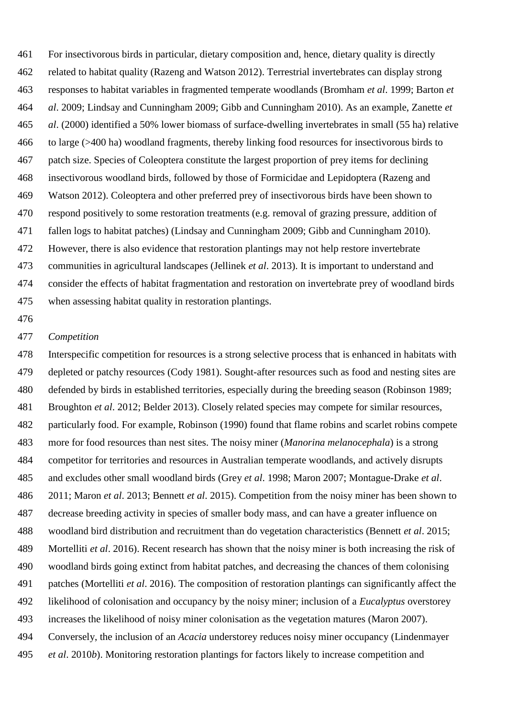For insectivorous birds in particular, dietary composition and, hence, dietary quality is directly related to habitat quality (Razeng and Watson 2012). Terrestrial invertebrates can display strong responses to habitat variables in fragmented temperate woodlands (Bromham *et al*. 1999; Barton *et al*. 2009; Lindsay and Cunningham 2009; Gibb and Cunningham 2010). As an example, Zanette *et al*. (2000) identified a 50% lower biomass of surface-dwelling invertebrates in small (55 ha) relative to large (>400 ha) woodland fragments, thereby linking food resources for insectivorous birds to patch size. Species of Coleoptera constitute the largest proportion of prey items for declining insectivorous woodland birds, followed by those of Formicidae and Lepidoptera (Razeng and Watson 2012). Coleoptera and other preferred prey of insectivorous birds have been shown to respond positively to some restoration treatments (e.g. removal of grazing pressure, addition of fallen logs to habitat patches) (Lindsay and Cunningham 2009; Gibb and Cunningham 2010). However, there is also evidence that restoration plantings may not help restore invertebrate communities in agricultural landscapes (Jellinek *et al*. 2013). It is important to understand and consider the effects of habitat fragmentation and restoration on invertebrate prey of woodland birds when assessing habitat quality in restoration plantings.

#### *Competition*

 Interspecific competition for resources is a strong selective process that is enhanced in habitats with depleted or patchy resources (Cody 1981). Sought-after resources such as food and nesting sites are defended by birds in established territories, especially during the breeding season (Robinson 1989; Broughton *et al*. 2012; Belder 2013). Closely related species may compete for similar resources, particularly food. For example, Robinson (1990) found that flame robins and scarlet robins compete more for food resources than nest sites. The noisy miner (*Manorina melanocephala*) is a strong competitor for territories and resources in Australian temperate woodlands, and actively disrupts and excludes other small woodland birds (Grey *et al*. 1998; Maron 2007; Montague-Drake *et al*. 2011; Maron *et al*. 2013; Bennett *et al*. 2015). Competition from the noisy miner has been shown to decrease breeding activity in species of smaller body mass, and can have a greater influence on woodland bird distribution and recruitment than do vegetation characteristics (Bennett *et al*. 2015; Mortelliti *et al*. 2016). Recent research has shown that the noisy miner is both increasing the risk of woodland birds going extinct from habitat patches, and decreasing the chances of them colonising patches (Mortelliti *et al*. 2016). The composition of restoration plantings can significantly affect the likelihood of colonisation and occupancy by the noisy miner; inclusion of a *Eucalyptus* overstorey increases the likelihood of noisy miner colonisation as the vegetation matures (Maron 2007). Conversely, the inclusion of an *Acacia* understorey reduces noisy miner occupancy (Lindenmayer *et al*. 2010*b*). Monitoring restoration plantings for factors likely to increase competition and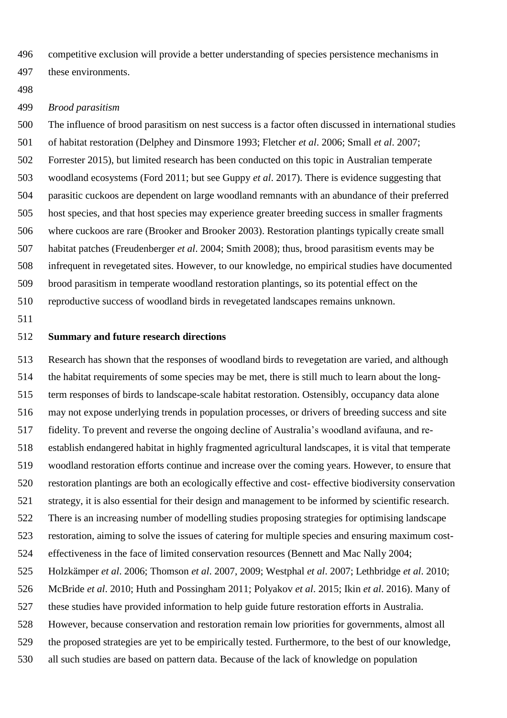competitive exclusion will provide a better understanding of species persistence mechanisms in

these environments.

### *Brood parasitism*

 The influence of brood parasitism on nest success is a factor often discussed in international studies of habitat restoration (Delphey and Dinsmore 1993; Fletcher *et al*. 2006; Small *et al*. 2007; Forrester 2015), but limited research has been conducted on this topic in Australian temperate woodland ecosystems (Ford 2011; but see Guppy *et al*. 2017). There is evidence suggesting that parasitic cuckoos are dependent on large woodland remnants with an abundance of their preferred host species, and that host species may experience greater breeding success in smaller fragments where cuckoos are rare (Brooker and Brooker 2003). Restoration plantings typically create small habitat patches (Freudenberger *et al*. 2004; Smith 2008); thus, brood parasitism events may be infrequent in revegetated sites. However, to our knowledge, no empirical studies have documented brood parasitism in temperate woodland restoration plantings, so its potential effect on the reproductive success of woodland birds in revegetated landscapes remains unknown.

#### **Summary and future research directions**

 Research has shown that the responses of woodland birds to revegetation are varied, and although the habitat requirements of some species may be met, there is still much to learn about the long- term responses of birds to landscape-scale habitat restoration. Ostensibly, occupancy data alone may not expose underlying trends in population processes, or drivers of breeding success and site fidelity. To prevent and reverse the ongoing decline of Australia's woodland avifauna, and re- establish endangered habitat in highly fragmented agricultural landscapes, it is vital that temperate woodland restoration efforts continue and increase over the coming years. However, to ensure that restoration plantings are both an ecologically effective and cost- effective biodiversity conservation strategy, it is also essential for their design and management to be informed by scientific research. There is an increasing number of modelling studies proposing strategies for optimising landscape restoration, aiming to solve the issues of catering for multiple species and ensuring maximum cost- effectiveness in the face of limited conservation resources (Bennett and Mac Nally 2004; Holzkämper *et al*. 2006; Thomson *et al*. 2007, 2009; Westphal *et al*. 2007; Lethbridge *et al*. 2010; McBride *et al*. 2010; Huth and Possingham 2011; Polyakov *et al*. 2015; Ikin *et al*. 2016). Many of these studies have provided information to help guide future restoration efforts in Australia. However, because conservation and restoration remain low priorities for governments, almost all the proposed strategies are yet to be empirically tested. Furthermore, to the best of our knowledge, all such studies are based on pattern data. Because of the lack of knowledge on population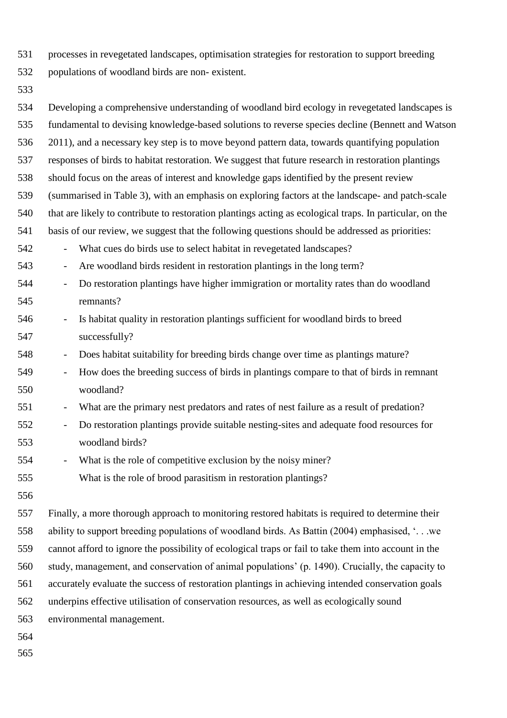- processes in revegetated landscapes, optimisation strategies for restoration to support breeding
- populations of woodland birds are non- existent.
- 

| 534 | Developing a comprehensive understanding of woodland bird ecology in revegetated landscapes is                      |
|-----|---------------------------------------------------------------------------------------------------------------------|
| 535 | fundamental to devising knowledge-based solutions to reverse species decline (Bennett and Watson                    |
| 536 | 2011), and a necessary key step is to move beyond pattern data, towards quantifying population                      |
| 537 | responses of birds to habitat restoration. We suggest that future research in restoration plantings                 |
| 538 | should focus on the areas of interest and knowledge gaps identified by the present review                           |
| 539 | (summarised in Table 3), with an emphasis on exploring factors at the landscape- and patch-scale                    |
| 540 | that are likely to contribute to restoration plantings acting as ecological traps. In particular, on the            |
| 541 | basis of our review, we suggest that the following questions should be addressed as priorities:                     |
| 542 | What cues do birds use to select habitat in revegetated landscapes?<br>$\overline{\phantom{a}}$                     |
| 543 | Are woodland birds resident in restoration plantings in the long term?<br>$\overline{\phantom{a}}$                  |
| 544 | Do restoration plantings have higher immigration or mortality rates than do woodland<br>$\overline{\phantom{a}}$    |
| 545 | remnants?                                                                                                           |
| 546 | Is habitat quality in restoration plantings sufficient for woodland birds to breed<br>$\blacksquare$                |
| 547 | successfully?                                                                                                       |
| 548 | Does habitat suitability for breeding birds change over time as plantings mature?<br>$\overline{\phantom{a}}$       |
| 549 | How does the breeding success of birds in plantings compare to that of birds in remnant<br>$\overline{\phantom{a}}$ |
| 550 | woodland?                                                                                                           |
| 551 | What are the primary nest predators and rates of nest failure as a result of predation?<br>$\overline{\phantom{a}}$ |
| 552 | Do restoration plantings provide suitable nesting-sites and adequate food resources for<br>$\overline{\phantom{a}}$ |
| 553 | woodland birds?                                                                                                     |
| 554 | What is the role of competitive exclusion by the noisy miner?<br>$\overline{\phantom{a}}$                           |
| 555 | What is the role of brood parasitism in restoration plantings?                                                      |
| 556 |                                                                                                                     |
| 557 | Finally, a more thorough approach to monitoring restored habitats is required to determine their                    |
| 558 | ability to support breeding populations of woodland birds. As Battin (2004) emphasised, ' we                        |
| 559 | cannot afford to ignore the possibility of ecological traps or fail to take them into account in the                |

- study, management, and conservation of animal populations' (p. 1490). Crucially, the capacity to
- accurately evaluate the success of restoration plantings in achieving intended conservation goals
- underpins effective utilisation of conservation resources, as well as ecologically sound
- environmental management.
- 
-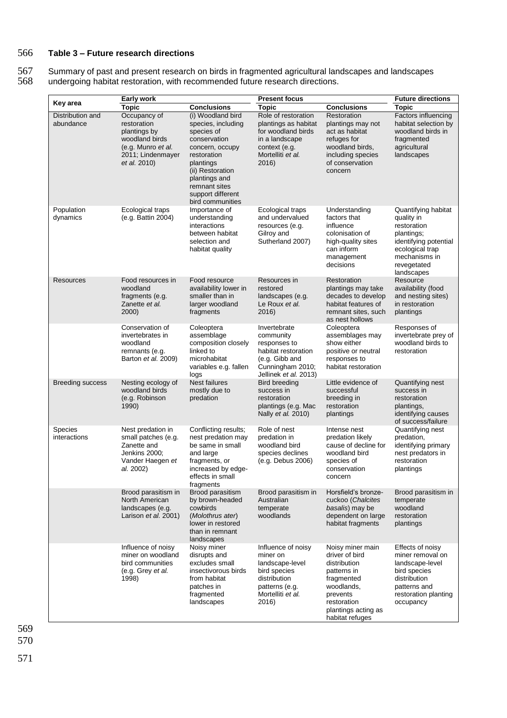### 566 **Table 3 – Future research directions**

567 Summary of past and present research on birds in fragmented agricultural landscapes and landscapes 568 undergoing habitat restoration, with recommended future research directions.

| Key area                      | <b>Early work</b>                                                                                                        |                                                                                                                                                                                                                     | <b>Present focus</b>                                                                                                               |                                                                                                                                                                    | <b>Future directions</b>                                                                                                                                 |
|-------------------------------|--------------------------------------------------------------------------------------------------------------------------|---------------------------------------------------------------------------------------------------------------------------------------------------------------------------------------------------------------------|------------------------------------------------------------------------------------------------------------------------------------|--------------------------------------------------------------------------------------------------------------------------------------------------------------------|----------------------------------------------------------------------------------------------------------------------------------------------------------|
|                               | <b>Topic</b>                                                                                                             | <b>Conclusions</b>                                                                                                                                                                                                  | <b>Topic</b>                                                                                                                       | <b>Conclusions</b>                                                                                                                                                 | <b>Topic</b>                                                                                                                                             |
| Distribution and<br>abundance | Occupancy of<br>restoration<br>plantings by<br>woodland birds<br>(e.g. Munro et al.<br>2011; Lindenmayer<br>et al. 2010) | (i) Woodland bird<br>species, including<br>species of<br>conservation<br>concern, occupy<br>restoration<br>plantings<br>(ii) Restoration<br>plantings and<br>remnant sites<br>support different<br>bird communities | Role of restoration<br>plantings as habitat<br>for woodland birds<br>in a landscape<br>context (e.g.<br>Mortelliti et al.<br>2016) | Restoration<br>plantings may not<br>act as habitat<br>refuges for<br>woodland birds,<br>including species<br>of conservation<br>concern                            | Factors influencing<br>habitat selection by<br>woodland birds in<br>fragmented<br>agricultural<br>landscapes                                             |
| Population<br>dynamics        | Ecological traps<br>(e.g. Battin 2004)                                                                                   | Importance of<br>understanding<br>interactions<br>between habitat<br>selection and<br>habitat quality                                                                                                               | Ecological traps<br>and undervalued<br>resources (e.g.<br>Gilroy and<br>Sutherland 2007)                                           | Understanding<br>factors that<br>influence<br>colonisation of<br>high-quality sites<br>can inform<br>management<br>decisions                                       | Quantifying habitat<br>quality in<br>restoration<br>plantings;<br>identifying potential<br>ecological trap<br>mechanisms in<br>revegetated<br>landscapes |
| <b>Resources</b>              | Food resources in<br>woodland<br>fragments (e.g.<br>Zanette et al.<br>2000)                                              | Food resource<br>availability lower in<br>smaller than in<br>larger woodland<br>fragments                                                                                                                           | Resources in<br>restored<br>landscapes (e.g.<br>Le Roux et al.<br>2016)                                                            | Restoration<br>plantings may take<br>decades to develop<br>habitat features of<br>remnant sites, such<br>as nest hollows                                           | Resource<br>availability (food<br>and nesting sites)<br>in restoration<br>plantings                                                                      |
|                               | Conservation of<br>invertebrates in<br>woodland<br>remnants (e.g.<br>Barton et al. 2009)                                 | Coleoptera<br>assemblage<br>composition closely<br>linked to<br>microhabitat<br>variables e.g. fallen<br>logs                                                                                                       | Invertebrate<br>community<br>responses to<br>habitat restoration<br>(e.g. Gibb and<br>Cunningham 2010;<br>Jellinek et al. 2013)    | Coleoptera<br>assemblages may<br>show either<br>positive or neutral<br>responses to<br>habitat restoration                                                         | Responses of<br>invertebrate prey of<br>woodland birds to<br>restoration                                                                                 |
| <b>Breeding success</b>       | Nesting ecology of<br>woodland birds<br>(e.g. Robinson<br>1990)                                                          | <b>Nest failures</b><br>mostly due to<br>predation                                                                                                                                                                  | <b>Bird breeding</b><br>success in<br>restoration<br>plantings (e.g. Mac<br>Nally et al. 2010)                                     | Little evidence of<br>successful<br>breeding in<br>restoration<br>plantings                                                                                        | Quantifying nest<br>success in<br>restoration<br>plantings,<br>identifying causes<br>of success/failure                                                  |
| Species<br>interactions       | Nest predation in<br>small patches (e.g.<br>Zanette and<br>Jenkins 2000:<br>Vander Haegen et<br>al. 2002)                | Conflicting results;<br>nest predation may<br>be same in small<br>and large<br>fragments, or<br>increased by edge-<br>effects in small<br>fragments                                                                 | Role of nest<br>predation in<br>woodland bird<br>species declines<br>(e.g. Debus 2006)                                             | Intense nest<br>predation likely<br>cause of decline for<br>woodland bird<br>species of<br>conservation<br>concern                                                 | Quantifying nest<br>predation,<br>identifying primary<br>nest predators in<br>restoration<br>plantings                                                   |
|                               | Brood parasitism in<br>North American<br>landscapes (e.g.<br>Larison et al. 2001)                                        | Brood parasitism<br>by brown-headed<br>cowbirds<br>(Molothrus ater)<br>lower in restored<br>than in remnant<br>landscapes                                                                                           | Brood parasitism in<br>Australian<br>temperate<br>woodlands                                                                        | Horsfield's bronze-<br>cuckoo (Chalcites<br>basalis) may be<br>dependent on large<br>habitat fragments                                                             | Brood parasitism in<br>temperate<br>woodland<br>restoration<br>plantings                                                                                 |
|                               | Influence of noisy<br>miner on woodland<br>bird communities<br>(e.g. Grey et al.<br>1998)                                | Noisy miner<br>disrupts and<br>excludes small<br>insectivorous birds<br>from habitat<br>patches in<br>fragmented<br>landscapes                                                                                      | Influence of noisy<br>miner on<br>landscape-level<br>bird species<br>distribution<br>patterns (e.g.<br>Mortelliti et al.<br>2016)  | Noisy miner main<br>driver of bird<br>distribution<br>patterns in<br>fragmented<br>woodlands,<br>prevents<br>restoration<br>plantings acting as<br>habitat refuges | Effects of noisy<br>miner removal on<br>landscape-level<br>bird species<br>distribution<br>patterns and<br>restoration planting<br>occupancy             |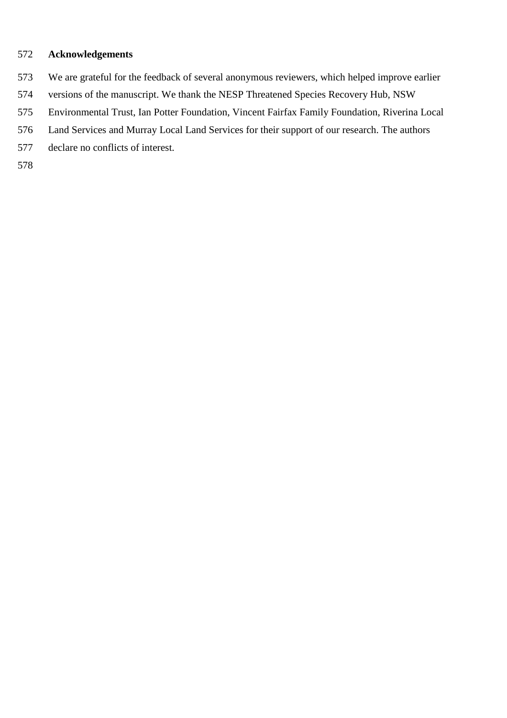# **Acknowledgements**

- We are grateful for the feedback of several anonymous reviewers, which helped improve earlier
- versions of the manuscript. We thank the NESP Threatened Species Recovery Hub, NSW
- Environmental Trust, Ian Potter Foundation, Vincent Fairfax Family Foundation, Riverina Local
- Land Services and Murray Local Land Services for their support of our research. The authors
- declare no conflicts of interest.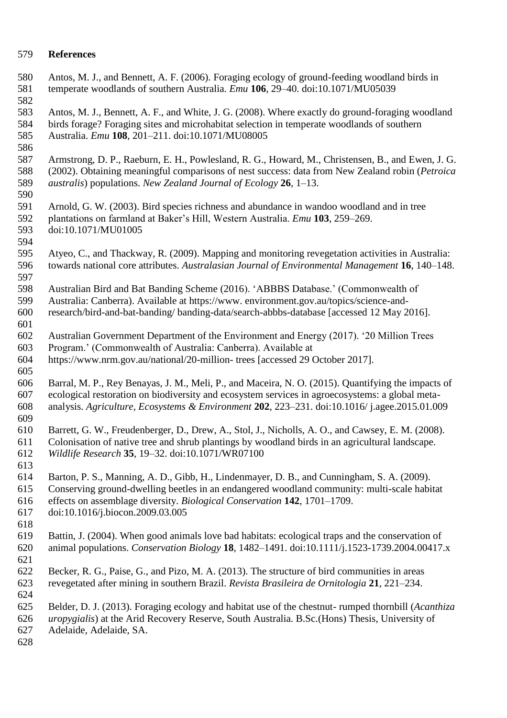## **References**

580 Antos, M. J., and Bennett, A. F. (2006). Foraging ecology of ground-feeding woodland birds in<br>581 temperate woodlands of southern Australia. *Emu* **106**, 29–40. doi:10.1071/MU05039 temperate woodlands of southern Australia. *Emu* **106**, 29–40. doi:10.1071/MU05039 Antos, M. J., Bennett, A. F., and White, J. G. (2008). Where exactly do ground-foraging woodland birds forage? Foraging sites and microhabitat selection in temperate woodlands of southern Australia. *Emu* **108**, 201–211. doi:10.1071/MU08005 Armstrong, D. P., Raeburn, E. H., Powlesland, R. G., Howard, M., Christensen, B., and Ewen, J. G. (2002). Obtaining meaningful comparisons of nest success: data from New Zealand robin (*Petroica australis*) populations. *New Zealand Journal of Ecology* **26**, 1–13. Arnold, G. W. (2003). Bird species richness and abundance in wandoo woodland and in tree plantations on farmland at Baker's Hill, Western Australia. *Emu* **103**, 259–269. doi:10.1071/MU01005 Atyeo, C., and Thackway, R. (2009). Mapping and monitoring revegetation activities in Australia: towards national core attributes. *Australasian Journal of Environmental Management* **16**, 140–148. Australian Bird and Bat Banding Scheme (2016). 'ABBBS Database.' (Commonwealth of Australia: Canberra). Available at https://www. environment.gov.au/topics/science-and- research/bird-and-bat-banding/ banding-data/search-abbbs-database [accessed 12 May 2016]. Australian Government Department of the Environment and Energy (2017). '20 Million Trees Program.' (Commonwealth of Australia: Canberra). Available at https://www.nrm.gov.au/national/20-million- trees [accessed 29 October 2017]. Barral, M. P., Rey Benayas, J. M., Meli, P., and Maceira, N. O. (2015). Quantifying the impacts of ecological restoration on biodiversity and ecosystem services in agroecosystems: a global meta- analysis. *Agriculture, Ecosystems & Environment* **202**, 223–231. doi:10.1016/ j.agee.2015.01.009 Barrett, G. W., Freudenberger, D., Drew, A., Stol, J., Nicholls, A. O., and Cawsey, E. M. (2008). Colonisation of native tree and shrub plantings by woodland birds in an agricultural landscape. *Wildlife Research* **35**, 19–32. doi:10.1071/WR07100 Barton, P. S., Manning, A. D., Gibb, H., Lindenmayer, D. B., and Cunningham, S. A. (2009). Conserving ground-dwelling beetles in an endangered woodland community: multi-scale habitat effects on assemblage diversity. *Biological Conservation* **142**, 1701–1709. doi:10.1016/j.biocon.2009.03.005 Battin, J. (2004). When good animals love bad habitats: ecological traps and the conservation of animal populations. *Conservation Biology* **18**, 1482–1491. doi:10.1111/j.1523-1739.2004.00417.x Becker, R. G., Paise, G., and Pizo, M. A. (2013). The structure of bird communities in areas revegetated after mining in southern Brazil. *Revista Brasileira de Ornitologia* **21**, 221–234. Belder, D. J. (2013). Foraging ecology and habitat use of the chestnut- rumped thornbill (*Acanthiza uropygialis*) at the Arid Recovery Reserve, South Australia. B.Sc.(Hons) Thesis, University of Adelaide, Adelaide, SA.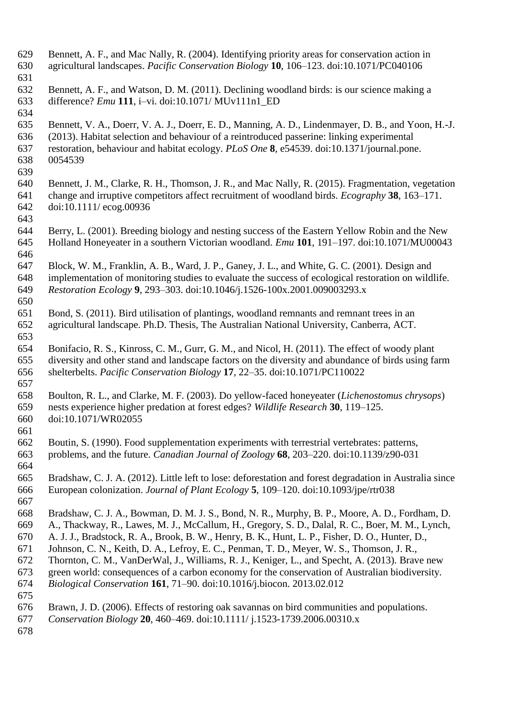Bennett, A. F., and Mac Nally, R. (2004). Identifying priority areas for conservation action in agricultural landscapes. *Pacific Conservation Biology* **10**, 106–123. doi:10.1071/PC040106 631<br>632 Bennett, A. F., and Watson, D. M. (2011). Declining woodland birds: is our science making a difference? *Emu* **111**, i–vi. doi:10.1071/ MUv111n1\_ED Bennett, V. A., Doerr, V. A. J., Doerr, E. D., Manning, A. D., Lindenmayer, D. B., and Yoon, H.-J. (2013). Habitat selection and behaviour of a reintroduced passerine: linking experimental restoration, behaviour and habitat ecology. *PLoS One* **8**, e54539. doi:10.1371/journal.pone. 0054539 Bennett, J. M., Clarke, R. H., Thomson, J. R., and Mac Nally, R. (2015). Fragmentation, vegetation change and irruptive competitors affect recruitment of woodland birds. *Ecography* **38**, 163–171. doi:10.1111/ ecog.00936 Berry, L. (2001). Breeding biology and nesting success of the Eastern Yellow Robin and the New Holland Honeyeater in a southern Victorian woodland. *Emu* **101**, 191–197. doi:10.1071/MU00043 Block, W. M., Franklin, A. B., Ward, J. P., Ganey, J. L., and White, G. C. (2001). Design and implementation of monitoring studies to evaluate the success of ecological restoration on wildlife. *Restoration Ecology* **9**, 293–303. doi:10.1046/j.1526-100x.2001.009003293.x Bond, S. (2011). Bird utilisation of plantings, woodland remnants and remnant trees in an agricultural landscape. Ph.D. Thesis, The Australian National University, Canberra, ACT. Bonifacio, R. S., Kinross, C. M., Gurr, G. M., and Nicol, H. (2011). The effect of woody plant diversity and other stand and landscape factors on the diversity and abundance of birds using farm shelterbelts. *Pacific Conservation Biology* **17**, 22–35. doi:10.1071/PC110022 Boulton, R. L., and Clarke, M. F. (2003). Do yellow-faced honeyeater (*Lichenostomus chrysops*) nests experience higher predation at forest edges? *Wildlife Research* **30**, 119–125. doi:10.1071/WR02055 Boutin, S. (1990). Food supplementation experiments with terrestrial vertebrates: patterns, problems, and the future. *Canadian Journal of Zoology* **68**, 203–220. doi:10.1139/z90-031 Bradshaw, C. J. A. (2012). Little left to lose: deforestation and forest degradation in Australia since European colonization. *Journal of Plant Ecology* **5**, 109–120. doi:10.1093/jpe/rtr038 Bradshaw, C. J. A., Bowman, D. M. J. S., Bond, N. R., Murphy, B. P., Moore, A. D., Fordham, D. A., Thackway, R., Lawes, M. J., McCallum, H., Gregory, S. D., Dalal, R. C., Boer, M. M., Lynch, A. J. J., Bradstock, R. A., Brook, B. W., Henry, B. K., Hunt, L. P., Fisher, D. O., Hunter, D., Johnson, C. N., Keith, D. A., Lefroy, E. C., Penman, T. D., Meyer, W. S., Thomson, J. R., Thornton, C. M., VanDerWal, J., Williams, R. J., Keniger, L., and Specht, A. (2013). Brave new green world: consequences of a carbon economy for the conservation of Australian biodiversity. *Biological Conservation* **161**, 71–90. doi:10.1016/j.biocon. 2013.02.012 Brawn, J. D. (2006). Effects of restoring oak savannas on bird communities and populations. *Conservation Biology* **20**, 460–469. doi:10.1111/ j.1523-1739.2006.00310.x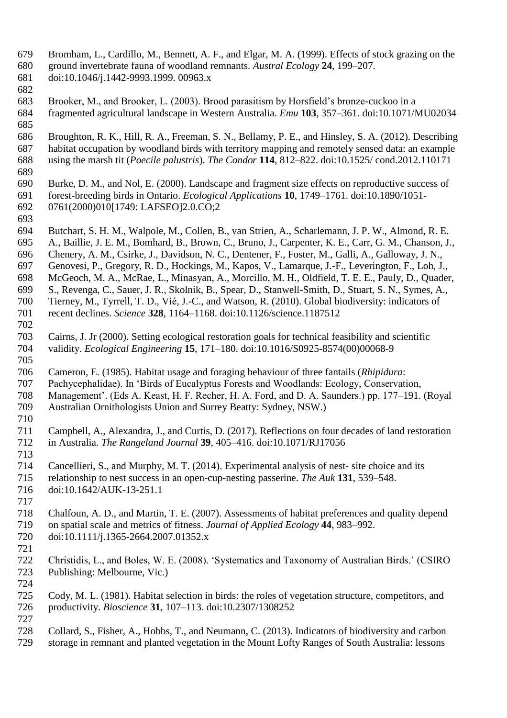- Bromham, L., Cardillo, M., Bennett, A. F., and Elgar, M. A. (1999). Effects of stock grazing on the
- ground invertebrate fauna of woodland remnants. *Austral Ecology* **24**, 199–207.
- doi:10.1046/j.1442-9993.1999. 00963.x
- 
- Brooker, M., and Brooker, L. (2003). Brood parasitism by Horsfield's bronze-cuckoo in a fragmented agricultural landscape in Western Australia. *Emu* **103**, 357–361. doi:10.1071/MU02034
- Broughton, R. K., Hill, R. A., Freeman, S. N., Bellamy, P. E., and Hinsley, S. A. (2012). Describing habitat occupation by woodland birds with territory mapping and remotely sensed data: an example using the marsh tit (*Poecile palustris*). *The Condor* **114**, 812–822. doi:10.1525/ cond.2012.110171
- Burke, D. M., and Nol, E. (2000). Landscape and fragment size effects on reproductive success of forest-breeding birds in Ontario. *Ecological Applications* **10**, 1749–1761. doi:10.1890/1051- 0761(2000)010[1749: LAFSEO]2.0.CO;2
- 
- Butchart, S. H. M., Walpole, M., Collen, B., van Strien, A., Scharlemann, J. P. W., Almond, R. E.
- A., Baillie, J. E. M., Bomhard, B., Brown, C., Bruno, J., Carpenter, K. E., Carr, G. M., Chanson, J.,
- Chenery, A. M., Csirke, J., Davidson, N. C., Dentener, F., Foster, M., Galli, A., Galloway, J. N.,
- Genovesi, P., Gregory, R. D., Hockings, M., Kapos, V., Lamarque, J.-F., Leverington, F., Loh, J.,
- McGeoch, M. A., McRae, L., Minasyan, A., Morcillo, M. H., Oldfield, T. E. E., Pauly, D., Quader,
- S., Revenga, C., Sauer, J. R., Skolnik, B., Spear, D., Stanwell-Smith, D., Stuart, S. N., Symes, A., Tierney, M., Tyrrell, T. D., Vié, J.-C., and Watson, R. (2010). Global biodiversity: indicators of
- recent declines. *Science* **328**, 1164–1168. doi:10.1126/science.1187512
- 
- Cairns, J. Jr (2000). Setting ecological restoration goals for technical feasibility and scientific validity. *Ecological Engineering* **15**, 171–180. doi:10.1016/S0925-8574(00)00068-9
- Cameron, E. (1985). Habitat usage and foraging behaviour of three fantails (*Rhipidura*:
- Pachycephalidae). In 'Birds of Eucalyptus Forests and Woodlands: Ecology, Conservation,
- Management'. (Eds A. Keast, H. F. Recher, H. A. Ford, and D. A. Saunders.) pp. 177–191. (Royal Australian Ornithologists Union and Surrey Beatty: Sydney, NSW.)
- 
- Campbell, A., Alexandra, J., and Curtis, D. (2017). Reflections on four decades of land restoration in Australia. *The Rangeland Journal* **39**, 405–416. doi:10.1071/RJ17056
- Cancellieri, S., and Murphy, M. T. (2014). Experimental analysis of nest- site choice and its relationship to nest success in an open-cup-nesting passerine. *The Auk* **131**, 539–548.
- doi:10.1642/AUK-13-251.1
- 

- Chalfoun, A. D., and Martin, T. E. (2007). Assessments of habitat preferences and quality depend on spatial scale and metrics of fitness. *Journal of Applied Ecology* **44**, 983–992. doi:10.1111/j.1365-2664.2007.01352.x
- Christidis, L., and Boles, W. E. (2008). 'Systematics and Taxonomy of Australian Birds.' (CSIRO Publishing: Melbourne, Vic.)
- 
- Cody, M. L. (1981). Habitat selection in birds: the roles of vegetation structure, competitors, and
- productivity. *Bioscience* **31**, 107–113. doi:10.2307/1308252
	-
	- Collard, S., Fisher, A., Hobbs, T., and Neumann, C. (2013). Indicators of biodiversity and carbon storage in remnant and planted vegetation in the Mount Lofty Ranges of South Australia: lessons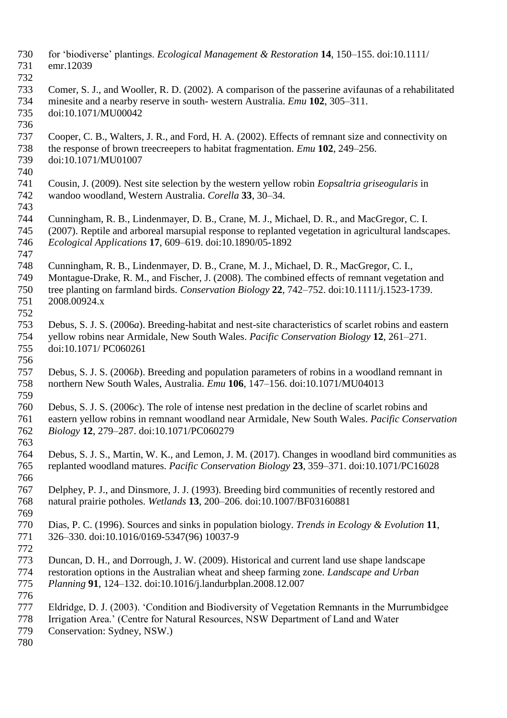| 730<br>731<br>732               | for 'biodiverse' plantings. <i>Ecological Management &amp; Restoration</i> 14, 150–155. doi:10.1111/<br>emr.12039                                                                                                                                                                                      |
|---------------------------------|--------------------------------------------------------------------------------------------------------------------------------------------------------------------------------------------------------------------------------------------------------------------------------------------------------|
| 733<br>734<br>735<br>736        | Comer, S. J., and Wooller, R. D. (2002). A comparison of the passerine avifaunas of a rehabilitated<br>minesite and a nearby reserve in south-western Australia. Emu 102, 305–311.<br>doi:10.1071/MU00042                                                                                              |
| 737<br>738<br>739<br>740        | Cooper, C. B., Walters, J. R., and Ford, H. A. (2002). Effects of remnant size and connectivity on<br>the response of brown treecreepers to habitat fragmentation. <i>Emu</i> 102, 249–256.<br>doi:10.1071/MU01007                                                                                     |
| 741<br>742<br>743               | Cousin, J. (2009). Nest site selection by the western yellow robin <i>Eopsaltria griseogularis</i> in<br>wandoo woodland, Western Australia. Corella 33, 30-34.                                                                                                                                        |
| 744<br>745<br>746<br>747        | Cunningham, R. B., Lindenmayer, D. B., Crane, M. J., Michael, D. R., and MacGregor, C. I.<br>(2007). Reptile and arboreal marsupial response to replanted vegetation in agricultural landscapes.<br>Ecological Applications 17, 609–619. doi:10.1890/05-1892                                           |
| 748<br>749<br>750<br>751<br>752 | Cunningham, R. B., Lindenmayer, D. B., Crane, M. J., Michael, D. R., MacGregor, C. I.,<br>Montague-Drake, R. M., and Fischer, J. (2008). The combined effects of remnant vegetation and<br>tree planting on farmland birds. Conservation Biology 22, 742–752. doi:10.1111/j.1523-1739.<br>2008.00924.x |
| 753<br>754<br>755<br>756        | Debus, S. J. S. (2006a). Breeding-habitat and nest-site characteristics of scarlet robins and eastern<br>yellow robins near Armidale, New South Wales. Pacific Conservation Biology 12, 261–271.<br>doi:10.1071/PC060261                                                                               |
| 757<br>758<br>759               | Debus, S. J. S. (2006b). Breeding and population parameters of robins in a woodland remnant in<br>northern New South Wales, Australia. Emu 106, 147-156. doi:10.1071/MU04013                                                                                                                           |
| 760<br>761<br>762<br>763        | Debus, S. J. S. (2006c). The role of intense nest predation in the decline of scarlet robins and<br>eastern yellow robins in remnant woodland near Armidale, New South Wales. Pacific Conservation<br>Biology 12, 279-287. doi:10.1071/PC060279                                                        |
| 764<br>765<br>766               | Debus, S. J. S., Martin, W. K., and Lemon, J. M. (2017). Changes in woodland bird communities as<br>replanted woodland matures. Pacific Conservation Biology 23, 359-371. doi:10.1071/PC16028                                                                                                          |
| 767<br>768<br>769               | Delphey, P. J., and Dinsmore, J. J. (1993). Breeding bird communities of recently restored and<br>natural prairie potholes. Wetlands 13, 200-206. doi:10.1007/BF03160881                                                                                                                               |
| 770<br>771<br>772               | Dias, P. C. (1996). Sources and sinks in population biology. Trends in Ecology & Evolution 11,<br>326-330. doi:10.1016/0169-5347(96) 10037-9                                                                                                                                                           |
| 773<br>774<br>775<br>776        | Duncan, D. H., and Dorrough, J. W. (2009). Historical and current land use shape landscape<br>restoration options in the Australian wheat and sheep farming zone. Landscape and Urban<br>Planning 91, 124-132. doi:10.1016/j.landurbplan.2008.12.007                                                   |
| 777<br>778<br>779<br>780        | Eldridge, D. J. (2003). 'Condition and Biodiversity of Vegetation Remnants in the Murrumbidgee<br>Irrigation Area.' (Centre for Natural Resources, NSW Department of Land and Water<br>Conservation: Sydney, NSW.)                                                                                     |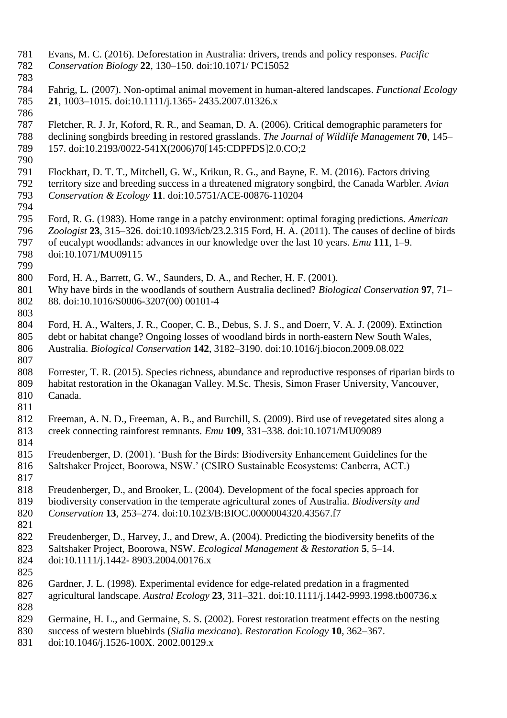*Conservation Biology* **22**, 130–150. doi:10.1071/ PC15052 Fahrig, L. (2007). Non-optimal animal movement in human-altered landscapes. *Functional Ecology*  **21**, 1003–1015. doi:10.1111/j.1365- 2435.2007.01326.x Fletcher, R. J. Jr, Koford, R. R., and Seaman, D. A. (2006). Critical demographic parameters for declining songbirds breeding in restored grasslands. *The Journal of Wildlife Management* **70**, 145– 157. doi:10.2193/0022-541X(2006)70[145:CDPFDS]2.0.CO;2 791 Flockhart, D. T. T., Mitchell, G. W., Krikun, R. G., and Bayne, E. M. (2016). Factors driving<br>792 ferritory size and breeding success in a threatened migratory songbird, the Canada Warbler. A territory size and breeding success in a threatened migratory songbird, the Canada Warbler. *Avian Conservation & Ecology* **11**. doi:10.5751/ACE-00876-110204 Ford, R. G. (1983). Home range in a patchy environment: optimal foraging predictions. *American Zoologist* **23**, 315–326. doi:10.1093/icb/23.2.315 Ford, H. A. (2011). The causes of decline of birds of eucalypt woodlands: advances in our knowledge over the last 10 years. *Emu* **111**, 1–9. doi:10.1071/MU09115 Ford, H. A., Barrett, G. W., Saunders, D. A., and Recher, H. F. (2001). Why have birds in the woodlands of southern Australia declined? *Biological Conservation* **97**, 71– 88. doi:10.1016/S0006-3207(00) 00101-4 Ford, H. A., Walters, J. R., Cooper, C. B., Debus, S. J. S., and Doerr, V. A. J. (2009). Extinction debt or habitat change? Ongoing losses of woodland birds in north-eastern New South Wales, Australia. *Biological Conservation* **142**, 3182–3190. doi:10.1016/j.biocon.2009.08.022 Forrester, T. R. (2015). Species richness, abundance and reproductive responses of riparian birds to habitat restoration in the Okanagan Valley. M.Sc. Thesis, Simon Fraser University, Vancouver, Canada. Freeman, A. N. D., Freeman, A. B., and Burchill, S. (2009). Bird use of revegetated sites along a creek connecting rainforest remnants. *Emu* **109**, 331–338. doi:10.1071/MU09089 Freudenberger, D. (2001). 'Bush for the Birds: Biodiversity Enhancement Guidelines for the Saltshaker Project, Boorowa, NSW.' (CSIRO Sustainable Ecosystems: Canberra, ACT.) Freudenberger, D., and Brooker, L. (2004). Development of the focal species approach for biodiversity conservation in the temperate agricultural zones of Australia. *Biodiversity and Conservation* **13**, 253–274. doi:10.1023/B:BIOC.0000004320.43567.f7 Freudenberger, D., Harvey, J., and Drew, A. (2004). Predicting the biodiversity benefits of the Saltshaker Project, Boorowa, NSW. *Ecological Management & Restoration* **5**, 5–14. doi:10.1111/j.1442- 8903.2004.00176.x Gardner, J. L. (1998). Experimental evidence for edge-related predation in a fragmented agricultural landscape. *Austral Ecology* **23**, 311–321. doi:10.1111/j.1442-9993.1998.tb00736.x Germaine, H. L., and Germaine, S. S. (2002). Forest restoration treatment effects on the nesting success of western bluebirds (*Sialia mexicana*). *Restoration Ecology* **10**, 362–367. doi:10.1046/j.1526-100X. 2002.00129.x

Evans, M. C. (2016). Deforestation in Australia: drivers, trends and policy responses. *Pacific*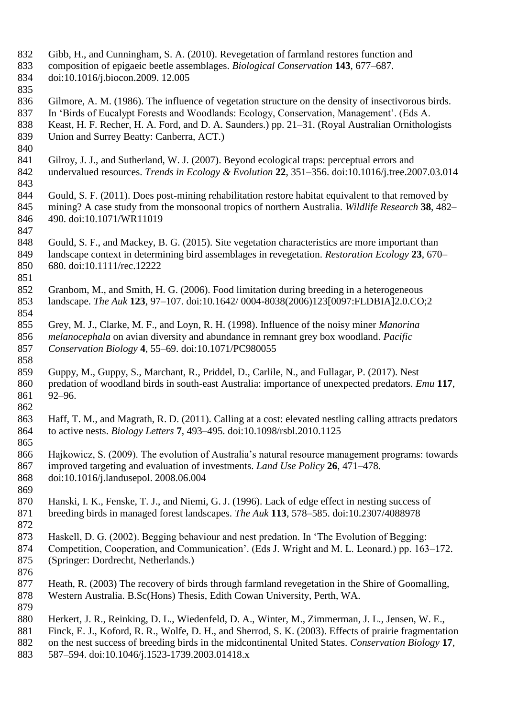- Gibb, H., and Cunningham, S. A. (2010). Revegetation of farmland restores function and
- composition of epigaeic beetle assemblages. *Biological Conservation* **143**, 677–687.
- doi:10.1016/j.biocon.2009. 12.005
- 
- Gilmore, A. M. (1986). The influence of vegetation structure on the density of insectivorous birds.
- In 'Birds of Eucalypt Forests and Woodlands: Ecology, Conservation, Management'. (Eds A.
- Keast, H. F. Recher, H. A. Ford, and D. A. Saunders.) pp. 21–31. (Royal Australian Ornithologists Union and Surrey Beatty: Canberra, ACT.)
- 
- Gilroy, J. J., and Sutherland, W. J. (2007). Beyond ecological traps: perceptual errors and undervalued resources. *Trends in Ecology & Evolution* **22**, 351–356. doi:10.1016/j.tree.2007.03.014
- 
- Gould, S. F. (2011). Does post-mining rehabilitation restore habitat equivalent to that removed by mining? A case study from the monsoonal tropics of northern Australia. *Wildlife Research* **38**, 482– 490. doi:10.1071/WR11019
- Gould, S. F., and Mackey, B. G. (2015). Site vegetation characteristics are more important than landscape context in determining bird assemblages in revegetation. *Restoration Ecology* **23**, 670– 680. doi:10.1111/rec.12222
- 

- Granbom, M., and Smith, H. G. (2006). Food limitation during breeding in a heterogeneous landscape. *The Auk* **123**, 97–107. doi:10.1642/ 0004-8038(2006)123[0097:FLDBIA]2.0.CO;2
- Grey, M. J., Clarke, M. F., and Loyn, R. H. (1998). Influence of the noisy miner *Manorina melanocephala* on avian diversity and abundance in remnant grey box woodland. *Pacific Conservation Biology* **4**, 55–69. doi:10.1071/PC980055
- Guppy, M., Guppy, S., Marchant, R., Priddel, D., Carlile, N., and Fullagar, P. (2017). Nest predation of woodland birds in south-east Australia: importance of unexpected predators. *Emu* **117**, 92–96.
- Haff, T. M., and Magrath, R. D. (2011). Calling at a cost: elevated nestling calling attracts predators to active nests. *Biology Letters* **7**, 493–495. doi:10.1098/rsbl.2010.1125
- Hajkowicz, S. (2009). The evolution of Australia's natural resource management programs: towards improved targeting and evaluation of investments. *Land Use Policy* **26**, 471–478. doi:10.1016/j.landusepol. 2008.06.004
- Hanski, I. K., Fenske, T. J., and Niemi, G. J. (1996). Lack of edge effect in nesting success of breeding birds in managed forest landscapes. *The Auk* **113**, 578–585. doi:10.2307/4088978
- Haskell, D. G. (2002). Begging behaviour and nest predation. In 'The Evolution of Begging:
- Competition, Cooperation, and Communication'. (Eds J. Wright and M. L. Leonard.) pp. 163–172. (Springer: Dordrecht, Netherlands.)
- 
- Heath, R. (2003) The recovery of birds through farmland revegetation in the Shire of Goomalling, Western Australia. B.Sc(Hons) Thesis, Edith Cowan University, Perth, WA.
- Herkert, J. R., Reinking, D. L., Wiedenfeld, D. A., Winter, M., Zimmerman, J. L., Jensen, W. E.,
- Finck, E. J., Koford, R. R., Wolfe, D. H., and Sherrod, S. K. (2003). Effects of prairie fragmentation
- on the nest success of breeding birds in the midcontinental United States. *Conservation Biology* **17**,
- 587–594. doi:10.1046/j.1523-1739.2003.01418.x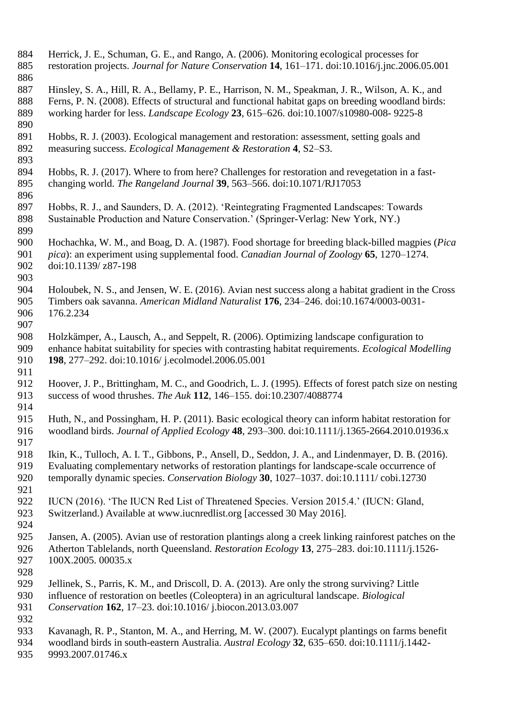Herrick, J. E., Schuman, G. E., and Rango, A. (2006). Monitoring ecological processes for restoration projects. *Journal for Nature Conservation* **14**, 161–171. doi:10.1016/j.jnc.2006.05.001 Hinsley, S. A., Hill, R. A., Bellamy, P. E., Harrison, N. M., Speakman, J. R., Wilson, A. K., and Ferns, P. N. (2008). Effects of structural and functional habitat gaps on breeding woodland birds: working harder for less. *Landscape Ecology* **23**, 615–626. doi:10.1007/s10980-008- 9225-8 891 Hobbs, R. J. (2003). Ecological management and restoration: assessment, setting goals and<br>892 measuring success. *Ecological Management & Restoration* 4, S2–S3. measuring success. *Ecological Management & Restoration* **4**, S2–S3. Hobbs, R. J. (2017). Where to from here? Challenges for restoration and revegetation in a fast- changing world. *The Rangeland Journal* **39**, 563–566. doi:10.1071/RJ17053 Hobbs, R. J., and Saunders, D. A. (2012). 'Reintegrating Fragmented Landscapes: Towards Sustainable Production and Nature Conservation.' (Springer-Verlag: New York, NY.) Hochachka, W. M., and Boag, D. A. (1987). Food shortage for breeding black-billed magpies (*Pica pica*): an experiment using supplemental food. *Canadian Journal of Zoology* **65**, 1270–1274. doi:10.1139/ z87-198 Holoubek, N. S., and Jensen, W. E. (2016). Avian nest success along a habitat gradient in the Cross Timbers oak savanna. *American Midland Naturalist* **176**, 234–246. doi:10.1674/0003-0031- 176.2.234 Holzkämper, A., Lausch, A., and Seppelt, R. (2006). Optimizing landscape configuration to enhance habitat suitability for species with contrasting habitat requirements. *Ecological Modelling*  **198**, 277–292. doi:10.1016/ j.ecolmodel.2006.05.001 Hoover, J. P., Brittingham, M. C., and Goodrich, L. J. (1995). Effects of forest patch size on nesting success of wood thrushes. *The Auk* **112**, 146–155. doi:10.2307/4088774 Huth, N., and Possingham, H. P. (2011). Basic ecological theory can inform habitat restoration for woodland birds. *Journal of Applied Ecology* **48**, 293–300. doi:10.1111/j.1365-2664.2010.01936.x Ikin, K., Tulloch, A. I. T., Gibbons, P., Ansell, D., Seddon, J. A., and Lindenmayer, D. B. (2016). Evaluating complementary networks of restoration plantings for landscape-scale occurrence of temporally dynamic species. *Conservation Biology* **30**, 1027–1037. doi:10.1111/ cobi.12730 IUCN (2016). 'The IUCN Red List of Threatened Species. Version 2015.4.' (IUCN: Gland, Switzerland.) Available at www.iucnredlist.org [accessed 30 May 2016]. Jansen, A. (2005). Avian use of restoration plantings along a creek linking rainforest patches on the Atherton Tablelands, north Queensland. *Restoration Ecology* **13**, 275–283. doi:10.1111/j.1526- 100X.2005. 00035.x 928<br>929 Jellinek, S., Parris, K. M., and Driscoll, D. A. (2013). Are only the strong surviving? Little influence of restoration on beetles (Coleoptera) in an agricultural landscape. *Biological Conservation* **162**, 17–23. doi:10.1016/ j.biocon.2013.03.007 Kavanagh, R. P., Stanton, M. A., and Herring, M. W. (2007). Eucalypt plantings on farms benefit woodland birds in south-eastern Australia. *Austral Ecology* **32**, 635–650. doi:10.1111/j.1442- 9993.2007.01746.x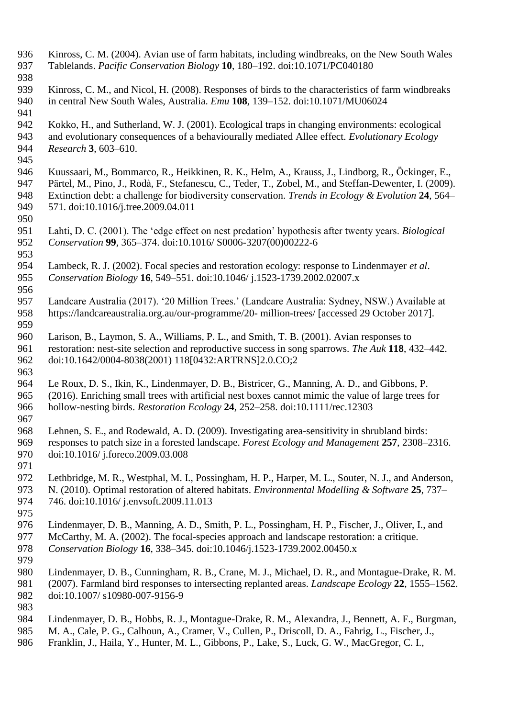Kinross, C. M. (2004). Avian use of farm habitats, including windbreaks, on the New South Wales Tablelands. *Pacific Conservation Biology* **10**, 180–192. doi:10.1071/PC040180 938<br>939 Kinross, C. M., and Nicol, H. (2008). Responses of birds to the characteristics of farm windbreaks in central New South Wales, Australia. *Emu* **108**, 139–152. doi:10.1071/MU06024 Kokko, H., and Sutherland, W. J. (2001). Ecological traps in changing environments: ecological and evolutionary consequences of a behaviourally mediated Allee effect. *Evolutionary Ecology Research* **3**, 603–610. Kuussaari, M., Bommarco, R., Heikkinen, R. K., Helm, A., Krauss, J., Lindborg, R., Öckinger, E., Pärtel, M., Pino, J., Rodà, F., Stefanescu, C., Teder, T., Zobel, M., and Steffan-Dewenter, I. (2009). Extinction debt: a challenge for biodiversity conservation. *Trends in Ecology & Evolution* **24**, 564– 571. doi:10.1016/j.tree.2009.04.011 Lahti, D. C. (2001). The 'edge effect on nest predation' hypothesis after twenty years. *Biological Conservation* **99**, 365–374. doi:10.1016/ S0006-3207(00)00222-6 Lambeck, R. J. (2002). Focal species and restoration ecology: response to Lindenmayer *et al*. *Conservation Biology* **16**, 549–551. doi:10.1046/ j.1523-1739.2002.02007.x Landcare Australia (2017). '20 Million Trees.' (Landcare Australia: Sydney, NSW.) Available at https://landcareaustralia.org.au/our-programme/20- million-trees/ [accessed 29 October 2017]. Larison, B., Laymon, S. A., Williams, P. L., and Smith, T. B. (2001). Avian responses to restoration: nest-site selection and reproductive success in song sparrows. *The Auk* **118**, 432–442. doi:10.1642/0004-8038(2001) 118[0432:ARTRNS]2.0.CO;2 Le Roux, D. S., Ikin, K., Lindenmayer, D. B., Bistricer, G., Manning, A. D., and Gibbons, P. (2016). Enriching small trees with artificial nest boxes cannot mimic the value of large trees for hollow-nesting birds. *Restoration Ecology* **24**, 252–258. doi:10.1111/rec.12303 Lehnen, S. E., and Rodewald, A. D. (2009). Investigating area-sensitivity in shrubland birds: responses to patch size in a forested landscape. *Forest Ecology and Management* **257**, 2308–2316. doi:10.1016/ j.foreco.2009.03.008 Lethbridge, M. R., Westphal, M. I., Possingham, H. P., Harper, M. L., Souter, N. J., and Anderson, N. (2010). Optimal restoration of altered habitats. *Environmental Modelling & Software* **25**, 737– 746. doi:10.1016/ j.envsoft.2009.11.013 Lindenmayer, D. B., Manning, A. D., Smith, P. L., Possingham, H. P., Fischer, J., Oliver, I., and McCarthy, M. A. (2002). The focal-species approach and landscape restoration: a critique. *Conservation Biology* **16**, 338–345. doi:10.1046/j.1523-1739.2002.00450.x Lindenmayer, D. B., Cunningham, R. B., Crane, M. J., Michael, D. R., and Montague-Drake, R. M. (2007). Farmland bird responses to intersecting replanted areas. *Landscape Ecology* **22**, 1555–1562. doi:10.1007/ s10980-007-9156-9 Lindenmayer, D. B., Hobbs, R. J., Montague-Drake, R. M., Alexandra, J., Bennett, A. F., Burgman, M. A., Cale, P. G., Calhoun, A., Cramer, V., Cullen, P., Driscoll, D. A., Fahrig, L., Fischer, J., Franklin, J., Haila, Y., Hunter, M. L., Gibbons, P., Lake, S., Luck, G. W., MacGregor, C. I.,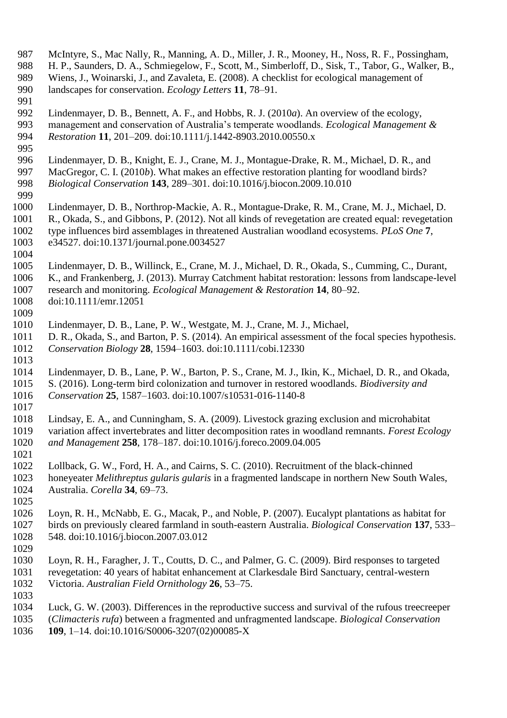- McIntyre, S., Mac Nally, R., Manning, A. D., Miller, J. R., Mooney, H., Noss, R. F., Possingham,
- H. P., Saunders, D. A., Schmiegelow, F., Scott, M., Simberloff, D., Sisk, T., Tabor, G., Walker, B.,
- 989 Wiens, J., Woinarski, J., and Zavaleta, E. (2008). A checklist for ecological management of landscapes for conservation. *Ecology Letters* 11, 78–91.
- landscapes for conservation. *Ecology Letters* **11**, 78–91.
- 
- Lindenmayer, D. B., Bennett, A. F., and Hobbs, R. J. (2010*a*). An overview of the ecology,
- management and conservation of Australia's temperate woodlands. *Ecological Management & Restoration* **11**, 201–209. doi:10.1111/j.1442-8903.2010.00550.x
- 
- Lindenmayer, D. B., Knight, E. J., Crane, M. J., Montague-Drake, R. M., Michael, D. R., and 997 MacGregor, C. I. (2010*b*). What makes an effective restoration planting for woodland birds?<br>998 Biological Conservation 143, 289–301. doi:10.1016/j.biocon.2009.10.010
- *Biological Conservation* **143**, 289–301. doi:10.1016/j.biocon.2009.10.010
- Lindenmayer, D. B., Northrop-Mackie, A. R., Montague-Drake, R. M., Crane, M. J., Michael, D. R., Okada, S., and Gibbons, P. (2012). Not all kinds of revegetation are created equal: revegetation type influences bird assemblages in threatened Australian woodland ecosystems. *PLoS One* **7**,
- e34527. doi:10.1371/journal.pone.0034527
- Lindenmayer, D. B., Willinck, E., Crane, M. J., Michael, D. R., Okada, S., Cumming, C., Durant,
- K., and Frankenberg, J. (2013). Murray Catchment habitat restoration: lessons from landscape-level
- research and monitoring. *Ecological Management & Restoration* **14**, 80–92. doi:10.1111/emr.12051
- 
- Lindenmayer, D. B., Lane, P. W., Westgate, M. J., Crane, M. J., Michael,
- D. R., Okada, S., and Barton, P. S. (2014). An empirical assessment of the focal species hypothesis. *Conservation Biology* **28**, 1594–1603. doi:10.1111/cobi.12330
- - Lindenmayer, D. B., Lane, P. W., Barton, P. S., Crane, M. J., Ikin, K., Michael, D. R., and Okada,
	- S. (2016). Long-term bird colonization and turnover in restored woodlands. *Biodiversity and Conservation* **25**, 1587–1603. doi:10.1007/s10531-016-1140-8
	-
	- Lindsay, E. A., and Cunningham, S. A. (2009). Livestock grazing exclusion and microhabitat variation affect invertebrates and litter decomposition rates in woodland remnants. *Forest Ecology and Management* **258**, 178–187. doi:10.1016/j.foreco.2009.04.005
	- Lollback, G. W., Ford, H. A., and Cairns, S. C. (2010). Recruitment of the black-chinned honeyeater *Melithreptus gularis gularis* in a fragmented landscape in northern New South Wales,
	- Australia. *Corella* **34**, 69–73.
	-
	- Loyn, R. H., McNabb, E. G., Macak, P., and Noble, P. (2007). Eucalypt plantations as habitat for birds on previously cleared farmland in south-eastern Australia. *Biological Conservation* **137**, 533– 548. doi:10.1016/j.biocon.2007.03.012
- Loyn, R. H., Faragher, J. T., Coutts, D. C., and Palmer, G. C. (2009). Bird responses to targeted revegetation: 40 years of habitat enhancement at Clarkesdale Bird Sanctuary, central-western Victoria. *Australian Field Ornithology* **26**, 53–75.
	- Luck, G. W. (2003). Differences in the reproductive success and survival of the rufous treecreeper
	- (*Climacteris rufa*) between a fragmented and unfragmented landscape. *Biological Conservation*
	- **109**, 1–14. doi:10.1016/S0006-3207(02)00085-X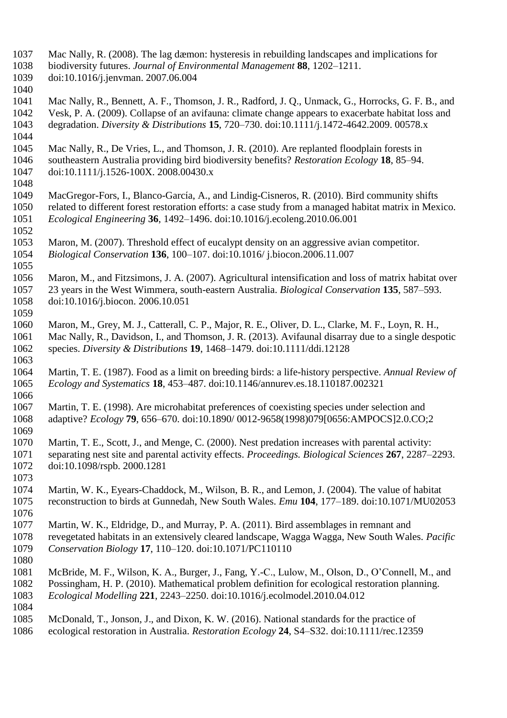- Mac Nally, R. (2008). The lag dæmon: hysteresis in rebuilding landscapes and implications for
- biodiversity futures. *Journal of Environmental Management* **88**, 1202–1211.
- doi:10.1016/j.jenvman. 2007.06.004
- 
- Mac Nally, R., Bennett, A. F., Thomson, J. R., Radford, J. Q., Unmack, G., Horrocks, G. F. B., and Vesk, P. A. (2009). Collapse of an avifauna: climate change appears to exacerbate habitat loss and
- degradation. *Diversity & Distributions* **15**, 720–730. doi:10.1111/j.1472-4642.2009. 00578.x
- Mac Nally, R., De Vries, L., and Thomson, J. R. (2010). Are replanted floodplain forests in southeastern Australia providing bird biodiversity benefits? *Restoration Ecology* **18**, 85–94. doi:10.1111/j.1526-100X. 2008.00430.x
- 

- MacGregor-Fors, I., Blanco-García, A., and Lindig-Cisneros, R. (2010). Bird community shifts related to different forest restoration efforts: a case study from a managed habitat matrix in Mexico. *Ecological Engineering* **36**, 1492–1496. doi:10.1016/j.ecoleng.2010.06.001
- Maron, M. (2007). Threshold effect of eucalypt density on an aggressive avian competitor. *Biological Conservation* **136**, 100–107. doi:10.1016/ j.biocon.2006.11.007
- Maron, M., and Fitzsimons, J. A. (2007). Agricultural intensification and loss of matrix habitat over 23 years in the West Wimmera, south-eastern Australia. *Biological Conservation* **135**, 587–593. doi:10.1016/j.biocon. 2006.10.051
- Maron, M., Grey, M. J., Catterall, C. P., Major, R. E., Oliver, D. L., Clarke, M. F., Loyn, R. H., Mac Nally, R., Davidson, I., and Thomson, J. R. (2013). Avifaunal disarray due to a single despotic species. *Diversity & Distributions* **19**, 1468–1479. doi:10.1111/ddi.12128
- Martin, T. E. (1987). Food as a limit on breeding birds: a life-history perspective. *Annual Review of Ecology and Systematics* **18**, 453–487. doi:10.1146/annurev.es.18.110187.002321
- Martin, T. E. (1998). Are microhabitat preferences of coexisting species under selection and adaptive? *Ecology* **79**, 656–670. doi:10.1890/ 0012-9658(1998)079[0656:AMPOCS]2.0.CO;2
- Martin, T. E., Scott, J., and Menge, C. (2000). Nest predation increases with parental activity: separating nest site and parental activity effects. *Proceedings. Biological Sciences* **267**, 2287–2293. doi:10.1098/rspb. 2000.1281
- Martin, W. K., Eyears-Chaddock, M., Wilson, B. R., and Lemon, J. (2004). The value of habitat reconstruction to birds at Gunnedah, New South Wales. *Emu* **104**, 177–189. doi:10.1071/MU02053
- Martin, W. K., Eldridge, D., and Murray, P. A. (2011). Bird assemblages in remnant and
- revegetated habitats in an extensively cleared landscape, Wagga Wagga, New South Wales. *Pacific Conservation Biology* **17**, 110–120. doi:10.1071/PC110110
- 
- McBride, M. F., Wilson, K. A., Burger, J., Fang, Y.-C., Lulow, M., Olson, D., O'Connell, M., and
- Possingham, H. P. (2010). Mathematical problem definition for ecological restoration planning.
	- *Ecological Modelling* **221**, 2243–2250. doi:10.1016/j.ecolmodel.2010.04.012
	- McDonald, T., Jonson, J., and Dixon, K. W. (2016). National standards for the practice of
	- ecological restoration in Australia. *Restoration Ecology* **24**, S4–S32. doi:10.1111/rec.12359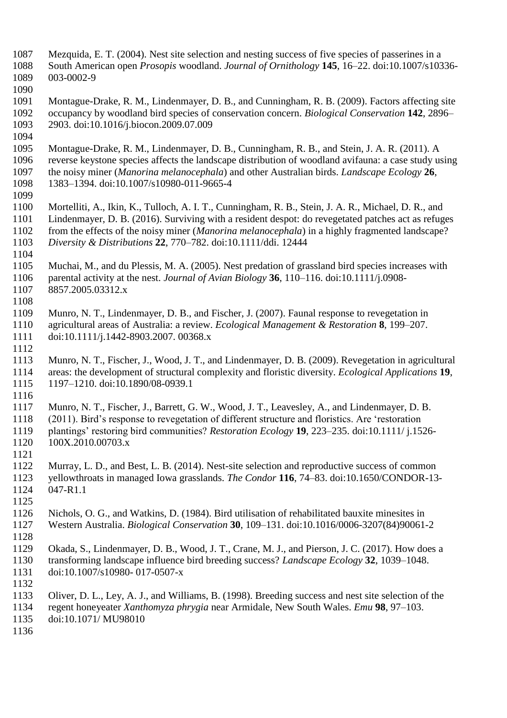- Mezquida, E. T. (2004). Nest site selection and nesting success of five species of passerines in a South American open *Prosopis* woodland. *Journal of Ornithology* **145**, 16–22. doi:10.1007/s10336- 003-0002-9 Montague-Drake, R. M., Lindenmayer, D. B., and Cunningham, R. B. (2009). Factors affecting site occupancy by woodland bird species of conservation concern. *Biological Conservation* **142**, 2896– 2903. doi:10.1016/j.biocon.2009.07.009 Montague-Drake, R. M., Lindenmayer, D. B., Cunningham, R. B., and Stein, J. A. R. (2011). A
- reverse keystone species affects the landscape distribution of woodland avifauna: a case study using the noisy miner (*Manorina melanocephala*) and other Australian birds. *Landscape Ecology* **26**, 1383–1394. doi:10.1007/s10980-011-9665-4
- 

- Mortelliti, A., Ikin, K., Tulloch, A. I. T., Cunningham, R. B., Stein, J. A. R., Michael, D. R., and Lindenmayer, D. B. (2016). Surviving with a resident despot: do revegetated patches act as refuges from the effects of the noisy miner (*Manorina melanocephala*) in a highly fragmented landscape? *Diversity & Distributions* **22**, 770–782. doi:10.1111/ddi. 12444
- Muchai, M., and du Plessis, M. A. (2005). Nest predation of grassland bird species increases with parental activity at the nest. *Journal of Avian Biology* **36**, 110–116. doi:10.1111/j.0908- 8857.2005.03312.x
- Munro, N. T., Lindenmayer, D. B., and Fischer, J. (2007). Faunal response to revegetation in agricultural areas of Australia: a review. *Ecological Management & Restoration* **8**, 199–207. doi:10.1111/j.1442-8903.2007. 00368.x
- Munro, N. T., Fischer, J., Wood, J. T., and Lindenmayer, D. B. (2009). Revegetation in agricultural areas: the development of structural complexity and floristic diversity. *Ecological Applications* **19**, 1197–1210. doi:10.1890/08-0939.1
- Munro, N. T., Fischer, J., Barrett, G. W., Wood, J. T., Leavesley, A., and Lindenmayer, D. B. (2011). Bird's response to revegetation of different structure and floristics. Are 'restoration
- plantings' restoring bird communities? *Restoration Ecology* **19**, 223–235. doi:10.1111/ j.1526- 100X.2010.00703.x
- Murray, L. D., and Best, L. B. (2014). Nest-site selection and reproductive success of common yellowthroats in managed Iowa grasslands. *The Condor* **116**, 74–83. doi:10.1650/CONDOR-13- 047-R1.1
- Nichols, O. G., and Watkins, D. (1984). Bird utilisation of rehabilitated bauxite minesites in Western Australia. *Biological Conservation* **30**, 109–131. doi:10.1016/0006-3207(84)90061-2
- Okada, S., Lindenmayer, D. B., Wood, J. T., Crane, M. J., and Pierson, J. C. (2017). How does a transforming landscape influence bird breeding success? *Landscape Ecology* **32**, 1039–1048. doi:10.1007/s10980- 017-0507-x
- 

- Oliver, D. L., Ley, A. J., and Williams, B. (1998). Breeding success and nest site selection of the regent honeyeater *Xanthomyza phrygia* near Armidale, New South Wales. *Emu* **98**, 97–103.
- doi:10.1071/ MU98010
-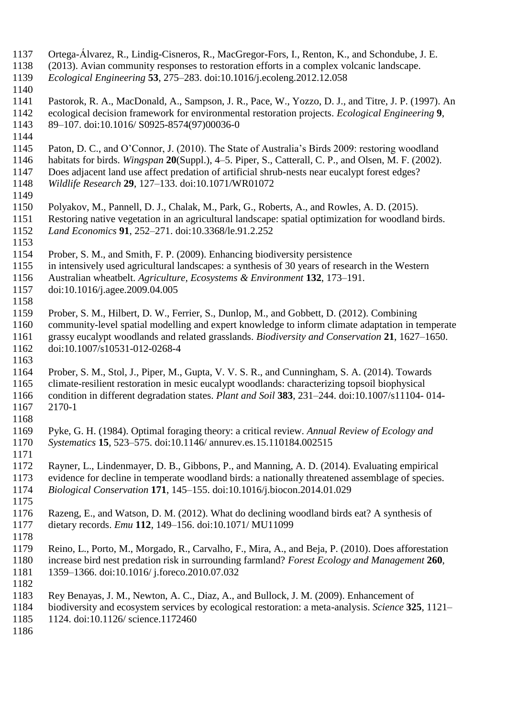- Ortega-Álvarez, R., Lindig-Cisneros, R., MacGregor-Fors, I., Renton, K., and Schondube, J. E.
- (2013). Avian community responses to restoration efforts in a complex volcanic landscape.
- *Ecological Engineering* **53**, 275–283. doi:10.1016/j.ecoleng.2012.12.058
- 
- Pastorok, R. A., MacDonald, A., Sampson, J. R., Pace, W., Yozzo, D. J., and Titre, J. P. (1997). An ecological decision framework for environmental restoration projects. *Ecological Engineering* **9**, 89–107. doi:10.1016/ S0925-8574(97)00036-0
- Paton, D. C., and O'Connor, J. (2010). The State of Australia's Birds 2009: restoring woodland
- habitats for birds. *Wingspan* **20**(Suppl.), 4–5. Piper, S., Catterall, C. P., and Olsen, M. F. (2002).
- Does adjacent land use affect predation of artificial shrub-nests near eucalypt forest edges?
- *Wildlife Research* **29**, 127–133. doi:10.1071/WR01072
- 
- Polyakov, M., Pannell, D. J., Chalak, M., Park, G., Roberts, A., and Rowles, A. D. (2015). Restoring native vegetation in an agricultural landscape: spatial optimization for woodland birds. *Land Economics* **91**, 252–271. doi:10.3368/le.91.2.252
- 

- Prober, S. M., and Smith, F. P. (2009). Enhancing biodiversity persistence
- in intensively used agricultural landscapes: a synthesis of 30 years of research in the Western
- Australian wheatbelt. *Agriculture, Ecosystems & Environment* **132**, 173–191.
- doi:10.1016/j.agee.2009.04.005
- Prober, S. M., Hilbert, D. W., Ferrier, S., Dunlop, M., and Gobbett, D. (2012). Combining community-level spatial modelling and expert knowledge to inform climate adaptation in temperate grassy eucalypt woodlands and related grasslands. *Biodiversity and Conservation* **21**, 1627–1650. doi:10.1007/s10531-012-0268-4
- Prober, S. M., Stol, J., Piper, M., Gupta, V. V. S. R., and Cunningham, S. A. (2014). Towards climate-resilient restoration in mesic eucalypt woodlands: characterizing topsoil biophysical condition in different degradation states. *Plant and Soil* **383**, 231–244. doi:10.1007/s11104- 014- 2170-1
- Pyke, G. H. (1984). Optimal foraging theory: a critical review. *Annual Review of Ecology and Systematics* **15**, 523–575. doi:10.1146/ annurev.es.15.110184.002515
- Rayner, L., Lindenmayer, D. B., Gibbons, P., and Manning, A. D. (2014). Evaluating empirical evidence for decline in temperate woodland birds: a nationally threatened assemblage of species. *Biological Conservation* **171**, 145–155. doi:10.1016/j.biocon.2014.01.029
- Razeng, E., and Watson, D. M. (2012). What do declining woodland birds eat? A synthesis of dietary records. *Emu* **112**, 149–156. doi:10.1071/ MU11099
- Reino, L., Porto, M., Morgado, R., Carvalho, F., Mira, A., and Beja, P. (2010). Does afforestation increase bird nest predation risk in surrounding farmland? *Forest Ecology and Management* **260**, 1359–1366. doi:10.1016/ j.foreco.2010.07.032
- 
- Rey Benayas, J. M., Newton, A. C., Diaz, A., and Bullock, J. M. (2009). Enhancement of
- biodiversity and ecosystem services by ecological restoration: a meta-analysis. *Science* **325**, 1121– 1124. doi:10.1126/ science.1172460
-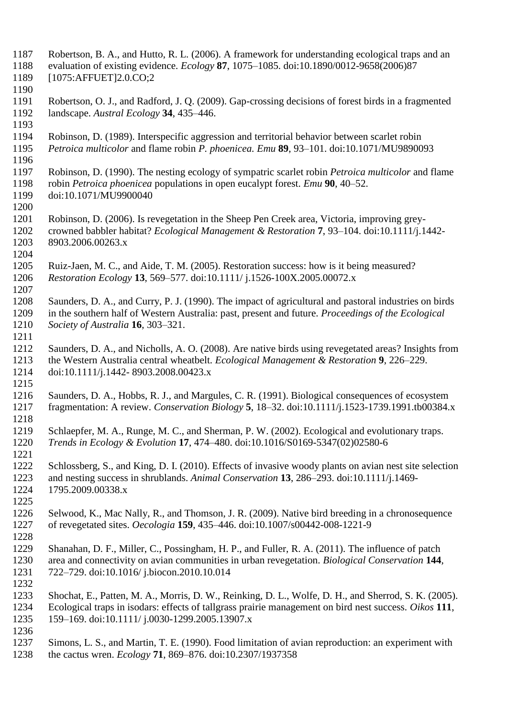Robertson, B. A., and Hutto, R. L. (2006). A framework for understanding ecological traps and an evaluation of existing evidence. *Ecology* **87**, 1075–1085. doi:10.1890/0012-9658(2006)87 [1075:AFFUET]2.0.CO;2 Robertson, O. J., and Radford, J. Q. (2009). Gap-crossing decisions of forest birds in a fragmented landscape. *Austral Ecology* **34**, 435–446. Robinson, D. (1989). Interspecific aggression and territorial behavior between scarlet robin *Petroica multicolor* and flame robin *P. phoenicea. Emu* **89**, 93–101. doi:10.1071/MU9890093 Robinson, D. (1990). The nesting ecology of sympatric scarlet robin *Petroica multicolor* and flame robin *Petroica phoenicea* populations in open eucalypt forest. *Emu* **90**, 40–52. doi:10.1071/MU9900040 Robinson, D. (2006). Is revegetation in the Sheep Pen Creek area, Victoria, improving grey- crowned babbler habitat? *Ecological Management & Restoration* **7**, 93–104. doi:10.1111/j.1442- 8903.2006.00263.x Ruiz-Jaen, M. C., and Aide, T. M. (2005). Restoration success: how is it being measured? *Restoration Ecology* **13**, 569–577. doi:10.1111/ j.1526-100X.2005.00072.x Saunders, D. A., and Curry, P. J. (1990). The impact of agricultural and pastoral industries on birds in the southern half of Western Australia: past, present and future. *Proceedings of the Ecological Society of Australia* **16**, 303–321. Saunders, D. A., and Nicholls, A. O. (2008). Are native birds using revegetated areas? Insights from the Western Australia central wheatbelt. *Ecological Management & Restoration* **9**, 226–229. doi:10.1111/j.1442- 8903.2008.00423.x Saunders, D. A., Hobbs, R. J., and Margules, C. R. (1991). Biological consequences of ecosystem fragmentation: A review. *Conservation Biology* **5**, 18–32. doi:10.1111/j.1523-1739.1991.tb00384.x Schlaepfer, M. A., Runge, M. C., and Sherman, P. W. (2002). Ecological and evolutionary traps. *Trends in Ecology & Evolution* **17**, 474–480. doi:10.1016/S0169-5347(02)02580-6 Schlossberg, S., and King, D. I. (2010). Effects of invasive woody plants on avian nest site selection and nesting success in shrublands. *Animal Conservation* **13**, 286–293. doi:10.1111/j.1469- 1795.2009.00338.x Selwood, K., Mac Nally, R., and Thomson, J. R. (2009). Native bird breeding in a chronosequence of revegetated sites. *Oecologia* **159**, 435–446. doi:10.1007/s00442-008-1221-9 Shanahan, D. F., Miller, C., Possingham, H. P., and Fuller, R. A. (2011). The influence of patch area and connectivity on avian communities in urban revegetation. *Biological Conservation* **144**, 722–729. doi:10.1016/ j.biocon.2010.10.014 Shochat, E., Patten, M. A., Morris, D. W., Reinking, D. L., Wolfe, D. H., and Sherrod, S. K. (2005). Ecological traps in isodars: effects of tallgrass prairie management on bird nest success. *Oikos* **111**, 159–169. doi:10.1111/ j.0030-1299.2005.13907.x Simons, L. S., and Martin, T. E. (1990). Food limitation of avian reproduction: an experiment with the cactus wren. *Ecology* **71**, 869–876. doi:10.2307/1937358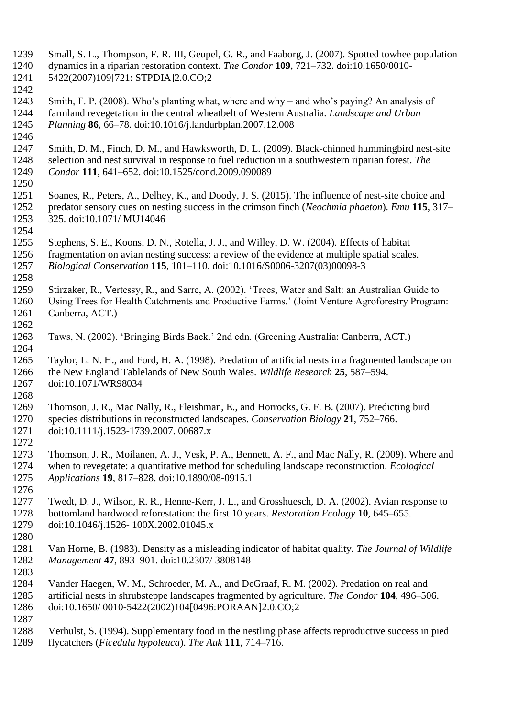Small, S. L., Thompson, F. R. III, Geupel, G. R., and Faaborg, J. (2007). Spotted towhee population dynamics in a riparian restoration context. *The Condor* **109**, 721–732. doi:10.1650/0010- 5422(2007)109[721: STPDIA]2.0.CO;2 Smith, F. P. (2008). Who's planting what, where and why – and who's paying? An analysis of farmland revegetation in the central wheatbelt of Western Australia. *Landscape and Urban Planning* **86**, 66–78. doi:10.1016/j.landurbplan.2007.12.008 Smith, D. M., Finch, D. M., and Hawksworth, D. L. (2009). Black-chinned hummingbird nest-site selection and nest survival in response to fuel reduction in a southwestern riparian forest. *The Condor* **111**, 641–652. doi:10.1525/cond.2009.090089 Soanes, R., Peters, A., Delhey, K., and Doody, J. S. (2015). The influence of nest-site choice and predator sensory cues on nesting success in the crimson finch (*Neochmia phaeton*). *Emu* **115**, 317– 325. doi:10.1071/ MU14046 Stephens, S. E., Koons, D. N., Rotella, J. J., and Willey, D. W. (2004). Effects of habitat fragmentation on avian nesting success: a review of the evidence at multiple spatial scales. *Biological Conservation* **115**, 101–110. doi:10.1016/S0006-3207(03)00098-3 Stirzaker, R., Vertessy, R., and Sarre, A. (2002). 'Trees, Water and Salt: an Australian Guide to Using Trees for Health Catchments and Productive Farms.' (Joint Venture Agroforestry Program: Canberra, ACT.) Taws, N. (2002). 'Bringing Birds Back.' 2nd edn. (Greening Australia: Canberra, ACT.) Taylor, L. N. H., and Ford, H. A. (1998). Predation of artificial nests in a fragmented landscape on the New England Tablelands of New South Wales. *Wildlife Research* **25**, 587–594. doi:10.1071/WR98034 Thomson, J. R., Mac Nally, R., Fleishman, E., and Horrocks, G. F. B. (2007). Predicting bird species distributions in reconstructed landscapes. *Conservation Biology* **21**, 752–766. doi:10.1111/j.1523-1739.2007. 00687.x Thomson, J. R., Moilanen, A. J., Vesk, P. A., Bennett, A. F., and Mac Nally, R. (2009). Where and when to revegetate: a quantitative method for scheduling landscape reconstruction. *Ecological Applications* **19**, 817–828. doi:10.1890/08-0915.1 Twedt, D. J., Wilson, R. R., Henne-Kerr, J. L., and Grosshuesch, D. A. (2002). Avian response to bottomland hardwood reforestation: the first 10 years. *Restoration Ecology* **10**, 645–655. doi:10.1046/j.1526- 100X.2002.01045.x Van Horne, B. (1983). Density as a misleading indicator of habitat quality. *The Journal of Wildlife Management* **47**, 893–901. doi:10.2307/ 3808148 Vander Haegen, W. M., Schroeder, M. A., and DeGraaf, R. M. (2002). Predation on real and artificial nests in shrubsteppe landscapes fragmented by agriculture. *The Condor* **104**, 496–506. doi:10.1650/ 0010-5422(2002)104[0496:PORAAN]2.0.CO;2 Verhulst, S. (1994). Supplementary food in the nestling phase affects reproductive success in pied flycatchers (*Ficedula hypoleuca*). *The Auk* **111**, 714–716.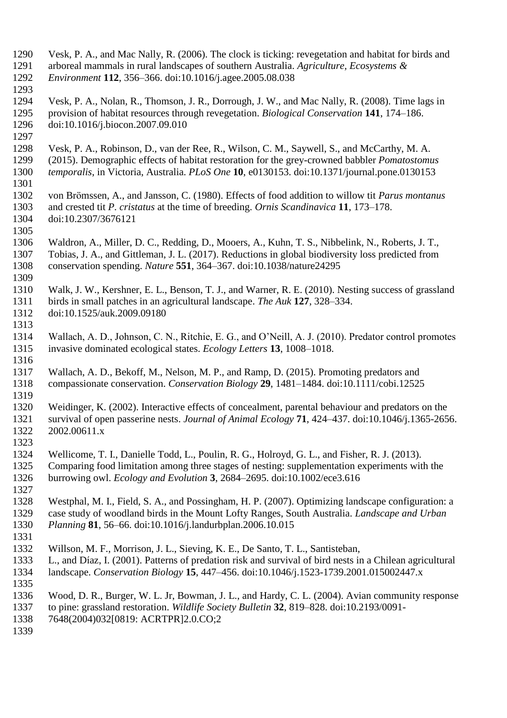Vesk, P. A., and Mac Nally, R. (2006). The clock is ticking: revegetation and habitat for birds and arboreal mammals in rural landscapes of southern Australia. *Agriculture, Ecosystems & Environment* **112**, 356–366. doi:10.1016/j.agee.2005.08.038 Vesk, P. A., Nolan, R., Thomson, J. R., Dorrough, J. W., and Mac Nally, R. (2008). Time lags in provision of habitat resources through revegetation. *Biological Conservation* **141**, 174–186. doi:10.1016/j.biocon.2007.09.010 Vesk, P. A., Robinson, D., van der Ree, R., Wilson, C. M., Saywell, S., and McCarthy, M. A. (2015). Demographic effects of habitat restoration for the grey-crowned babbler *Pomatostomus temporalis*, in Victoria, Australia. *PLoS One* **10**, e0130153. doi:10.1371/journal.pone.0130153 von Brömssen, A., and Jansson, C. (1980). Effects of food addition to willow tit *Parus montanus*  and crested tit *P. cristatus* at the time of breeding. *Ornis Scandinavica* **11**, 173–178. doi:10.2307/3676121 Waldron, A., Miller, D. C., Redding, D., Mooers, A., Kuhn, T. S., Nibbelink, N., Roberts, J. T., Tobias, J. A., and Gittleman, J. L. (2017). Reductions in global biodiversity loss predicted from conservation spending. *Nature* **551**, 364–367. doi:10.1038/nature24295 Walk, J. W., Kershner, E. L., Benson, T. J., and Warner, R. E. (2010). Nesting success of grassland birds in small patches in an agricultural landscape. *The Auk* **127**, 328–334. doi:10.1525/auk.2009.09180 Wallach, A. D., Johnson, C. N., Ritchie, E. G., and O'Neill, A. J. (2010). Predator control promotes invasive dominated ecological states. *Ecology Letters* **13**, 1008–1018. Wallach, A. D., Bekoff, M., Nelson, M. P., and Ramp, D. (2015). Promoting predators and compassionate conservation. *Conservation Biology* **29**, 1481–1484. doi:10.1111/cobi.12525 Weidinger, K. (2002). Interactive effects of concealment, parental behaviour and predators on the survival of open passerine nests. *Journal of Animal Ecology* **71**, 424–437. doi:10.1046/j.1365-2656. 2002.00611.x Wellicome, T. I., Danielle Todd, L., Poulin, R. G., Holroyd, G. L., and Fisher, R. J. (2013). Comparing food limitation among three stages of nesting: supplementation experiments with the burrowing owl. *Ecology and Evolution* **3**, 2684–2695. doi:10.1002/ece3.616 Westphal, M. I., Field, S. A., and Possingham, H. P. (2007). Optimizing landscape configuration: a case study of woodland birds in the Mount Lofty Ranges, South Australia. *Landscape and Urban Planning* **81**, 56–66. doi:10.1016/j.landurbplan.2006.10.015 Willson, M. F., Morrison, J. L., Sieving, K. E., De Santo, T. L., Santisteban, L., and Díaz, I. (2001). Patterns of predation risk and survival of bird nests in a Chilean agricultural landscape. *Conservation Biology* **15**, 447–456. doi:10.1046/j.1523-1739.2001.015002447.x Wood, D. R., Burger, W. L. Jr, Bowman, J. L., and Hardy, C. L. (2004). Avian community response to pine: grassland restoration. *Wildlife Society Bulletin* **32**, 819–828. doi:10.2193/0091- 7648(2004)032[0819: ACRTPR]2.0.CO;2